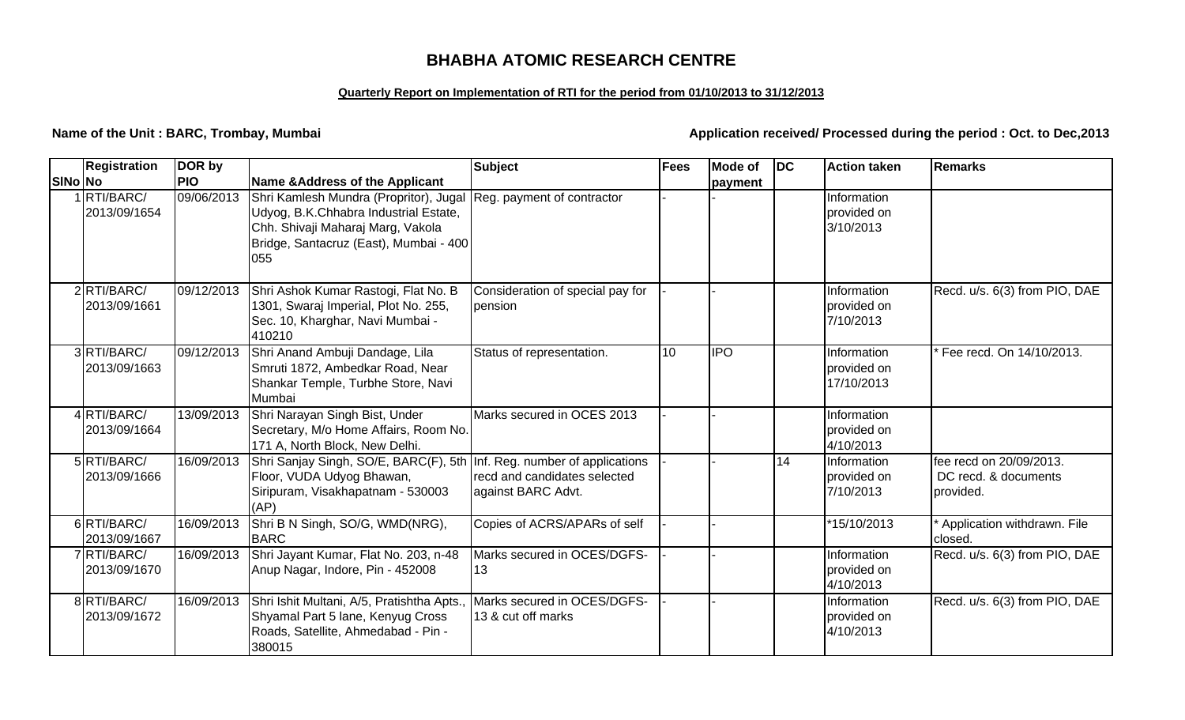# **BHABHA ATOMIC RESEARCH CENTRE**

#### **Quarterly Report on Implementation of RTI for the period from 01/10/2013 to 31/12/2013**

**Name of the Unit : BARC, Trombay, Mumbai** *Application received/ Processed during the period : Oct. to Dec,2013* 

|         | <b>Registration</b>        | DOR by     |                                                                                                                                                                       | <b>Subject</b>                                     | Fees            | <b>Mode of</b> | $\overline{D}$ | <b>Action taken</b>                      | <b>Remarks</b>                                               |
|---------|----------------------------|------------|-----------------------------------------------------------------------------------------------------------------------------------------------------------------------|----------------------------------------------------|-----------------|----------------|----------------|------------------------------------------|--------------------------------------------------------------|
| SINo No |                            | <b>PIO</b> | <b>Name &amp;Address of the Applicant</b>                                                                                                                             |                                                    |                 | payment        |                |                                          |                                                              |
|         | 1RTI/BARC/<br>2013/09/1654 | 09/06/2013 | Shri Kamlesh Mundra (Propritor), Jugal<br>Udyog, B.K.Chhabra Industrial Estate,<br>Chh. Shivaji Maharaj Marg, Vakola<br>Bridge, Santacruz (East), Mumbai - 400<br>055 | Reg. payment of contractor                         |                 |                |                | Information<br>provided on<br>3/10/2013  |                                                              |
|         | 2RTI/BARC/<br>2013/09/1661 | 09/12/2013 | Shri Ashok Kumar Rastogi, Flat No. B<br>1301, Swaraj Imperial, Plot No. 255,<br>Sec. 10, Kharghar, Navi Mumbai -<br>410210                                            | Consideration of special pay for<br>pension        |                 |                |                | Information<br>provided on<br>7/10/2013  | Recd. u/s. 6(3) from PIO, DAE                                |
|         | 3RTI/BARC/<br>2013/09/1663 | 09/12/2013 | Shri Anand Ambuji Dandage, Lila<br>Smruti 1872, Ambedkar Road, Near<br>Shankar Temple, Turbhe Store, Navi<br>Mumbai                                                   | Status of representation.                          | 10 <sup>1</sup> | <b>IPO</b>     |                | Information<br>provided on<br>17/10/2013 | Fee recd. On 14/10/2013.                                     |
|         | 4RTI/BARC/<br>2013/09/1664 | 13/09/2013 | Shri Narayan Singh Bist, Under<br>Secretary, M/o Home Affairs, Room No.<br>171 A, North Block, New Delhi.                                                             | Marks secured in OCES 2013                         |                 |                |                | Information<br>provided on<br>4/10/2013  |                                                              |
|         | 5RTI/BARC/<br>2013/09/1666 | 16/09/2013 | Shri Sanjay Singh, SO/E, BARC(F), 5th Inf. Reg. number of applications<br>Floor, VUDA Udyog Bhawan,<br>Siripuram, Visakhapatnam - 530003<br>(AP)                      | recd and candidates selected<br>against BARC Advt. |                 |                | 14             | Information<br>provided on<br>7/10/2013  | fee recd on 20/09/2013.<br>DC recd. & documents<br>provided. |
|         | 6RTI/BARC/<br>2013/09/1667 | 16/09/2013 | Shri B N Singh, SO/G, WMD(NRG),<br><b>BARC</b>                                                                                                                        | Copies of ACRS/APARs of self                       |                 |                |                | 15/10/2013                               | Application withdrawn. File<br>closed.                       |
|         | 7RTI/BARC/<br>2013/09/1670 | 16/09/2013 | Shri Jayant Kumar, Flat No. 203, n-48<br>Anup Nagar, Indore, Pin - 452008                                                                                             | Marks secured in OCES/DGFS-<br>13                  |                 |                |                | Information<br>provided on<br>4/10/2013  | Recd. u/s. 6(3) from PIO, DAE                                |
|         | 8RTI/BARC/<br>2013/09/1672 | 16/09/2013 | Shri Ishit Multani, A/5, Pratishtha Apts.,<br>Shyamal Part 5 lane, Kenyug Cross<br>Roads, Satellite, Ahmedabad - Pin -<br>380015                                      | Marks secured in OCES/DGFS-<br>13 & cut off marks  |                 |                |                | Information<br>provided on<br>4/10/2013  | Recd. u/s. 6(3) from PIO, DAE                                |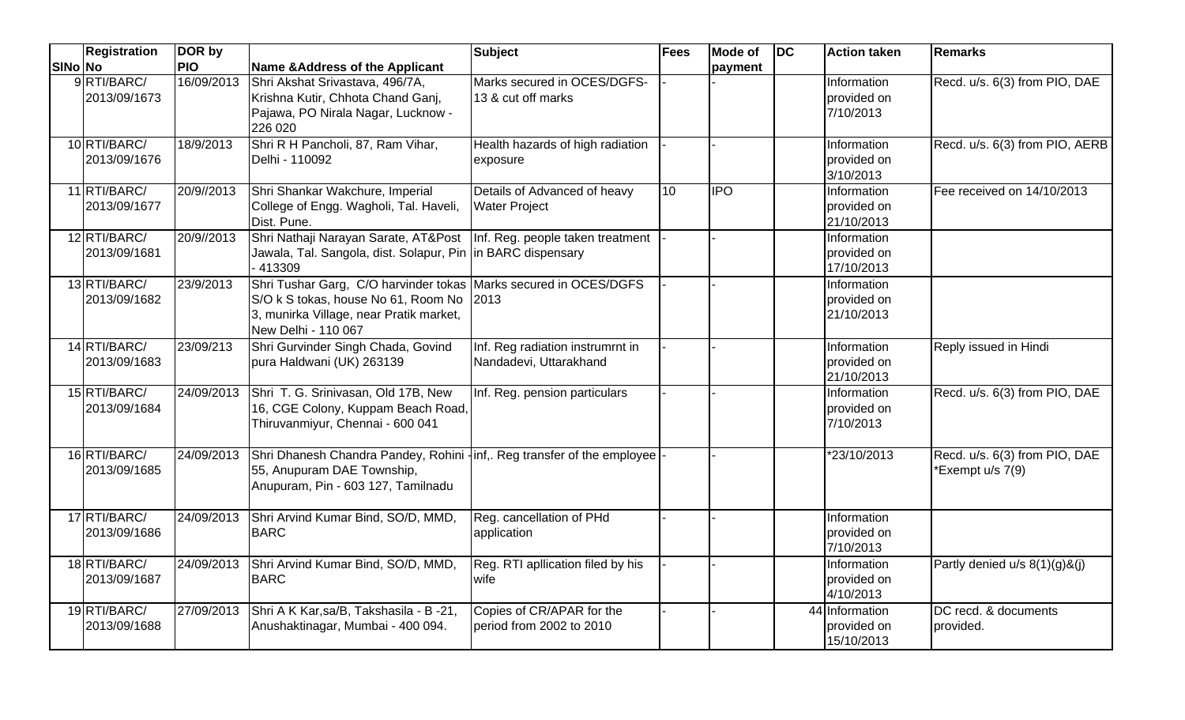|         | <b>Registration</b>          | DOR by     |                                                                                                                                                                                | <b>Subject</b>                                             | <b>Fees</b> | <b>Mode of</b> | <b>IDC</b> | <b>Action taken</b>                         | <b>Remarks</b>                                    |
|---------|------------------------------|------------|--------------------------------------------------------------------------------------------------------------------------------------------------------------------------------|------------------------------------------------------------|-------------|----------------|------------|---------------------------------------------|---------------------------------------------------|
| SINo No |                              | <b>PIO</b> | Name & Address of the Applicant                                                                                                                                                |                                                            |             | payment        |            |                                             |                                                   |
|         | 9RTI/BARC/<br>2013/09/1673   | 16/09/2013 | Shri Akshat Srivastava, 496/7A,<br>Krishna Kutir, Chhota Chand Ganj,<br>Pajawa, PO Nirala Nagar, Lucknow -<br>226 020                                                          | Marks secured in OCES/DGFS-<br>13 & cut off marks          |             |                |            | Information<br>provided on<br>7/10/2013     | Recd. u/s. 6(3) from PIO, DAE                     |
|         | 10 RTI/BARC/<br>2013/09/1676 | 18/9/2013  | Shri R H Pancholi, 87, Ram Vihar,<br>Delhi - 110092                                                                                                                            | Health hazards of high radiation<br>exposure               |             |                |            | Information<br>provided on<br>3/10/2013     | Recd. u/s. 6(3) from PIO, AERB                    |
|         | 11 RTI/BARC/<br>2013/09/1677 | 20/9//2013 | Shri Shankar Wakchure, Imperial<br>College of Engg. Wagholi, Tal. Haveli,<br>Dist. Pune.                                                                                       | Details of Advanced of heavy<br><b>Water Project</b>       | 10          | <b>IPO</b>     |            | Information<br>provided on<br>21/10/2013    | Fee received on 14/10/2013                        |
|         | 12 RTI/BARC/<br>2013/09/1681 | 20/9//2013 | Shri Nathaji Narayan Sarate, AT&Post<br>Jawala, Tal. Sangola, dist. Solapur, Pin in BARC dispensary<br>413309                                                                  | Inf. Reg. people taken treatment                           |             |                |            | Information<br>provided on<br>17/10/2013    |                                                   |
|         | 13 RTI/BARC/<br>2013/09/1682 | 23/9/2013  | Shri Tushar Garg, C/O harvinder tokas Marks secured in OCES/DGFS<br>S/O k S tokas, house No 61, Room No 2013<br>3, munirka Village, near Pratik market,<br>New Delhi - 110 067 |                                                            |             |                |            | Information<br>provided on<br>21/10/2013    |                                                   |
|         | 14 RTI/BARC/<br>2013/09/1683 | 23/09/213  | Shri Gurvinder Singh Chada, Govind<br>pura Haldwani (UK) 263139                                                                                                                | Inf. Reg radiation instrumrnt in<br>Nandadevi, Uttarakhand |             |                |            | Information<br>provided on<br>21/10/2013    | Reply issued in Hindi                             |
|         | 15 RTI/BARC/<br>2013/09/1684 | 24/09/2013 | Shri T. G. Srinivasan, Old 17B, New<br>16, CGE Colony, Kuppam Beach Road,<br>Thiruvanmiyur, Chennai - 600 041                                                                  | Inf. Reg. pension particulars                              |             |                |            | Information<br>provided on<br>7/10/2013     | Recd. u/s. 6(3) from PIO, DAE                     |
|         | 16 RTI/BARC/<br>2013/09/1685 | 24/09/2013 | Shri Dhanesh Chandra Pandey, Rohini -inf,. Reg transfer of the employee<br>55, Anupuram DAE Township,<br>Anupuram, Pin - 603 127, Tamilnadu                                    |                                                            |             |                |            | *23/10/2013                                 | Recd. u/s. 6(3) from PIO, DAE<br>*Exempt u/s 7(9) |
|         | 17 RTI/BARC/<br>2013/09/1686 | 24/09/2013 | Shri Arvind Kumar Bind, SO/D, MMD,<br><b>BARC</b>                                                                                                                              | Reg. cancellation of PHd<br>application                    |             |                |            | Information<br>provided on<br>7/10/2013     |                                                   |
|         | 18 RTI/BARC/<br>2013/09/1687 |            | 24/09/2013 Shri Arvind Kumar Bind, SO/D, MMD,<br><b>BARC</b>                                                                                                                   | Reg. RTI apllication filed by his<br>wife                  |             |                |            | Information<br>provided on<br>4/10/2013     | Partly denied $u/s$ 8(1)(g)&(j)                   |
|         | 19 RTI/BARC/<br>2013/09/1688 |            | 27/09/2013 Shri A K Kar, sa/B, Takshasila - B -21,<br>Anushaktinagar, Mumbai - 400 094.                                                                                        | Copies of CR/APAR for the<br>period from 2002 to 2010      |             |                |            | 44 Information<br>provided on<br>15/10/2013 | DC recd. & documents<br>provided.                 |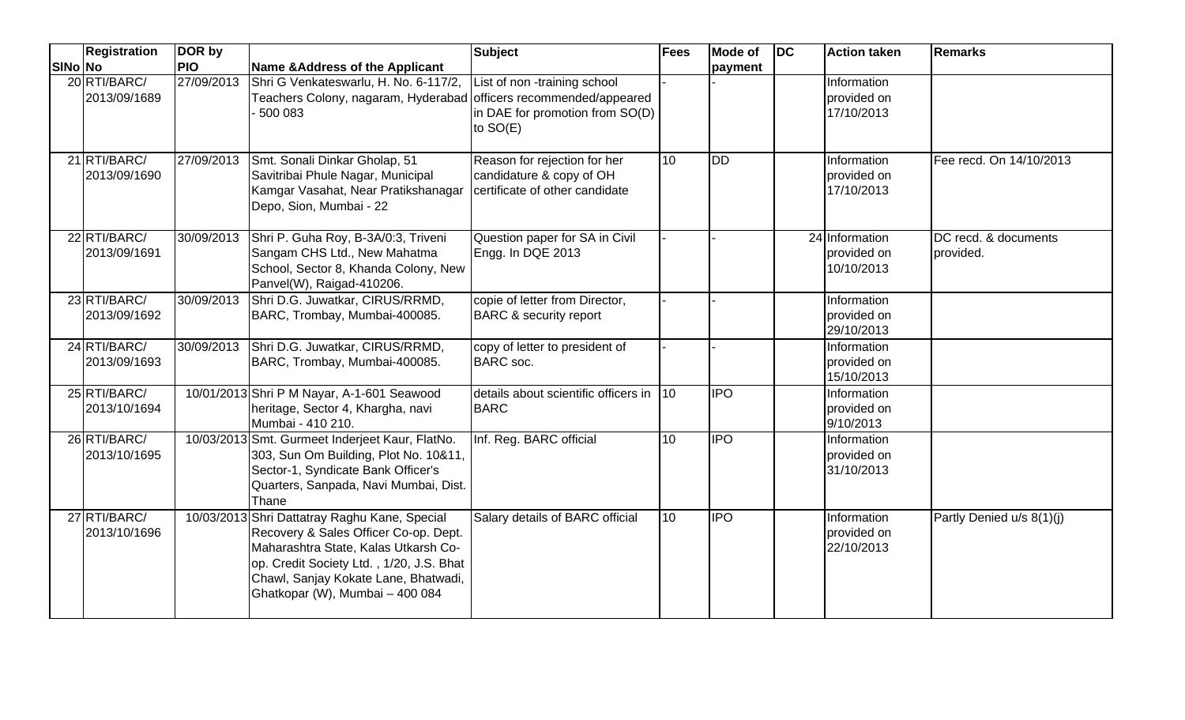|         | <b>Registration</b>          | DOR by     |                                                                                                                                                                                                                                                       | <b>Subject</b>                                                                             | <b>Fees</b>      | <b>Mode of</b>   | <b>DC</b> | <b>Action taken</b>                         | <b>Remarks</b>                    |
|---------|------------------------------|------------|-------------------------------------------------------------------------------------------------------------------------------------------------------------------------------------------------------------------------------------------------------|--------------------------------------------------------------------------------------------|------------------|------------------|-----------|---------------------------------------------|-----------------------------------|
| SINo No |                              | <b>PIO</b> | <b>Name &amp;Address of the Applicant</b>                                                                                                                                                                                                             |                                                                                            |                  | payment          |           |                                             |                                   |
|         | 20 RTI/BARC/<br>2013/09/1689 | 27/09/2013 | Shri G Venkateswarlu, H. No. 6-117/2,<br>Teachers Colony, nagaram, Hyderabad officers recommended/appeared<br>500 083                                                                                                                                 | List of non -training school<br>in DAE for promotion from SO(D)<br>to SO(E)                |                  |                  |           | Information<br>provided on<br>17/10/2013    |                                   |
|         | 21 RTI/BARC/<br>2013/09/1690 | 27/09/2013 | Smt. Sonali Dinkar Gholap, 51<br>Savitribai Phule Nagar, Municipal<br>Kamgar Vasahat, Near Pratikshanagar<br>Depo, Sion, Mumbai - 22                                                                                                                  | Reason for rejection for her<br>candidature & copy of OH<br>certificate of other candidate | 10               | <b>DD</b>        |           | Information<br>provided on<br>17/10/2013    | Fee recd. On 14/10/2013           |
|         | 22 RTI/BARC/<br>2013/09/1691 | 30/09/2013 | Shri P. Guha Roy, B-3A/0:3, Triveni<br>Sangam CHS Ltd., New Mahatma<br>School, Sector 8, Khanda Colony, New<br>Panvel(W), Raigad-410206.                                                                                                              | Question paper for SA in Civil<br>Engg. In DQE 2013                                        |                  |                  |           | 24 Information<br>provided on<br>10/10/2013 | DC recd. & documents<br>provided. |
|         | 23 RTI/BARC/<br>2013/09/1692 | 30/09/2013 | Shri D.G. Juwatkar, CIRUS/RRMD,<br>BARC, Trombay, Mumbai-400085.                                                                                                                                                                                      | copie of letter from Director,<br><b>BARC &amp; security report</b>                        |                  |                  |           | Information<br>provided on<br>29/10/2013    |                                   |
|         | 24 RTI/BARC/<br>2013/09/1693 | 30/09/2013 | Shri D.G. Juwatkar, CIRUS/RRMD,<br>BARC, Trombay, Mumbai-400085.                                                                                                                                                                                      | copy of letter to president of<br><b>BARC</b> soc.                                         |                  |                  |           | Information<br>provided on<br>15/10/2013    |                                   |
|         | 25 RTI/BARC/<br>2013/10/1694 |            | 10/01/2013 Shri P M Nayar, A-1-601 Seawood<br>heritage, Sector 4, Khargha, navi<br>Mumbai - 410 210.                                                                                                                                                  | details about scientific officers in<br><b>BARC</b>                                        | $\overline{110}$ | <b>IPO</b>       |           | Information<br>provided on<br>9/10/2013     |                                   |
|         | 26 RTI/BARC/<br>2013/10/1695 |            | 10/03/2013 Smt. Gurmeet Inderjeet Kaur, FlatNo.<br>303, Sun Om Building, Plot No. 10&11,<br>Sector-1, Syndicate Bank Officer's<br>Quarters, Sanpada, Navi Mumbai, Dist.<br>Thane                                                                      | Inf. Reg. BARC official                                                                    | 10               | $\overline{IPO}$ |           | Information<br>provided on<br>31/10/2013    |                                   |
|         | 27 RTI/BARC/<br>2013/10/1696 |            | 10/03/2013 Shri Dattatray Raghu Kane, Special<br>Recovery & Sales Officer Co-op. Dept.<br>Maharashtra State, Kalas Utkarsh Co-<br>op. Credit Society Ltd., 1/20, J.S. Bhat<br>Chawl, Sanjay Kokate Lane, Bhatwadi,<br>Ghatkopar (W), Mumbai - 400 084 | Salary details of BARC official                                                            | $\overline{10}$  | <b>IPO</b>       |           | Information<br>provided on<br>22/10/2013    | Partly Denied u/s 8(1)(j)         |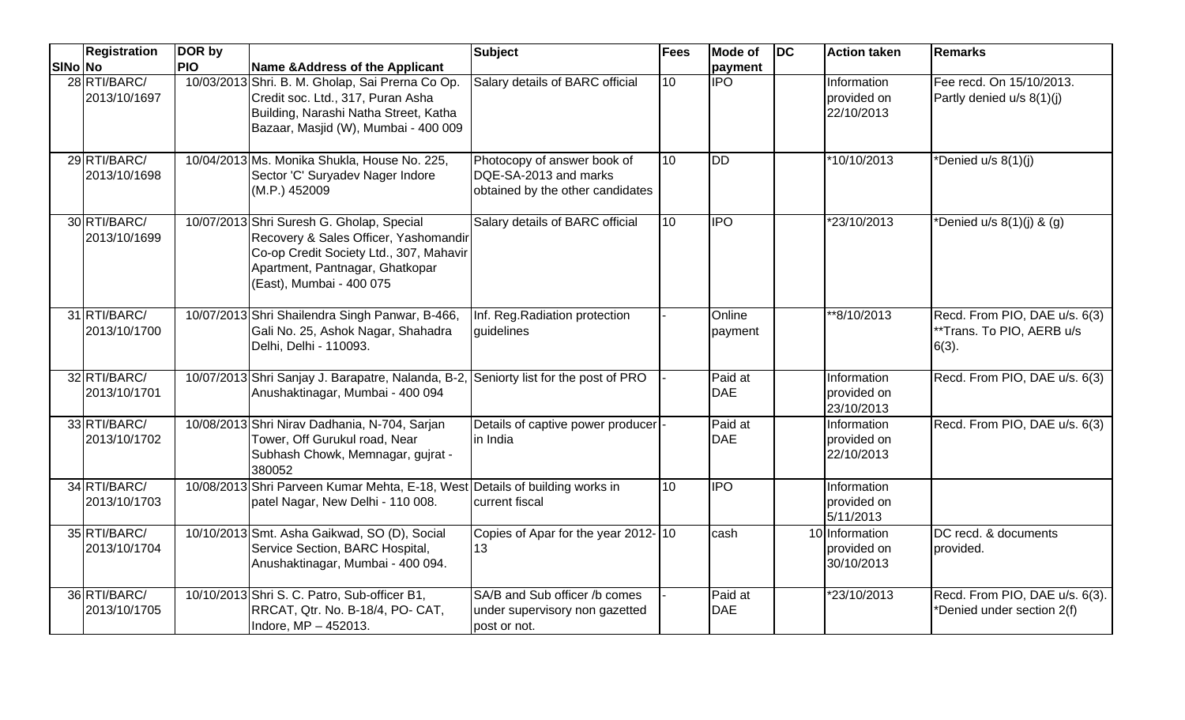|         | Registration                 | DOR by     |                                                                                                                                                                                              | <b>Subject</b>                                                                           | <b>Fees</b>     | <b>Mode of</b>        | $\overline{D}$ | <b>Action taken</b>                         | <b>Remarks</b>                                                         |
|---------|------------------------------|------------|----------------------------------------------------------------------------------------------------------------------------------------------------------------------------------------------|------------------------------------------------------------------------------------------|-----------------|-----------------------|----------------|---------------------------------------------|------------------------------------------------------------------------|
| SINo No |                              | <b>PIO</b> | Name & Address of the Applicant                                                                                                                                                              |                                                                                          |                 | payment               |                |                                             |                                                                        |
|         | 28 RTI/BARC/<br>2013/10/1697 |            | 10/03/2013 Shri. B. M. Gholap, Sai Prerna Co Op.<br>Credit soc. Ltd., 317, Puran Asha<br>Building, Narashi Natha Street, Katha<br>Bazaar, Masjid (W), Mumbai - 400 009                       | Salary details of BARC official                                                          | 10              | <b>IPO</b>            |                | Information<br>provided on<br>22/10/2013    | Fee recd. On 15/10/2013.<br>Partly denied u/s 8(1)(j)                  |
|         | 29 RTI/BARC/<br>2013/10/1698 |            | 10/04/2013 Ms. Monika Shukla, House No. 225,<br>Sector 'C' Suryadev Nager Indore<br>(M.P.) 452009                                                                                            | Photocopy of answer book of<br>DQE-SA-2013 and marks<br>obtained by the other candidates | 10              | $\overline{DD}$       |                | *10/10/2013                                 | *Denied u/s 8(1)(j)                                                    |
|         | 30 RTI/BARC/<br>2013/10/1699 |            | 10/07/2013 Shri Suresh G. Gholap, Special<br>Recovery & Sales Officer, Yashomandir<br>Co-op Credit Society Ltd., 307, Mahavir<br>Apartment, Pantnagar, Ghatkopar<br>(East), Mumbai - 400 075 | Salary details of BARC official                                                          | $\overline{10}$ | $\overline{IPO}$      |                | *23/10/2013                                 | *Denied u/s $8(1)(i)$ & $(q)$                                          |
|         | 31 RTI/BARC/<br>2013/10/1700 |            | 10/07/2013 Shri Shailendra Singh Panwar, B-466,<br>Gali No. 25, Ashok Nagar, Shahadra<br>Delhi, Delhi - 110093.                                                                              | Inf. Reg. Radiation protection<br>guidelines                                             |                 | Online<br>payment     |                | **8/10/2013                                 | Recd. From PIO, DAE u/s. 6(3)<br>**Trans. To PIO, AERB u/s<br>$6(3)$ . |
|         | 32 RTI/BARC/<br>2013/10/1701 |            | 10/07/2013 Shri Sanjay J. Barapatre, Nalanda, B-2, Seniorty list for the post of PRO<br>Anushaktinagar, Mumbai - 400 094                                                                     |                                                                                          |                 | Paid at<br><b>DAE</b> |                | Information<br>provided on<br>23/10/2013    | Recd. From PIO, DAE u/s. 6(3)                                          |
|         | 33 RTI/BARC/<br>2013/10/1702 |            | 10/08/2013 Shri Nirav Dadhania, N-704, Sarjan<br>Tower, Off Gurukul road, Near<br>Subhash Chowk, Memnagar, gujrat -<br>380052                                                                | Details of captive power producer<br>in India                                            |                 | Paid at<br><b>DAE</b> |                | Information<br>provided on<br>22/10/2013    | Recd. From PIO, DAE u/s. 6(3)                                          |
|         | 34 RTI/BARC/<br>2013/10/1703 |            | 10/08/2013 Shri Parveen Kumar Mehta, E-18, West Details of building works in<br>patel Nagar, New Delhi - 110 008.                                                                            | current fiscal                                                                           | 10              | <b>IPO</b>            |                | Information<br>provided on<br>5/11/2013     |                                                                        |
|         | 35 RTI/BARC/<br>2013/10/1704 |            | 10/10/2013 Smt. Asha Gaikwad, SO (D), Social<br>Service Section, BARC Hospital,<br>Anushaktinagar, Mumbai - 400 094.                                                                         | Copies of Apar for the year 2012-10<br>13                                                |                 | cash                  |                | 10 Information<br>provided on<br>30/10/2013 | DC recd. & documents<br>provided.                                      |
|         | 36 RTI/BARC/<br>2013/10/1705 |            | 10/10/2013 Shri S. C. Patro, Sub-officer B1,<br>RRCAT, Qtr. No. B-18/4, PO- CAT,<br>Indore, MP - 452013.                                                                                     | SA/B and Sub officer /b comes<br>under supervisory non gazetted<br>post or not.          |                 | Paid at<br><b>DAE</b> |                | *23/10/2013                                 | Recd. From PIO, DAE u/s. 6(3).<br>*Denied under section 2(f)           |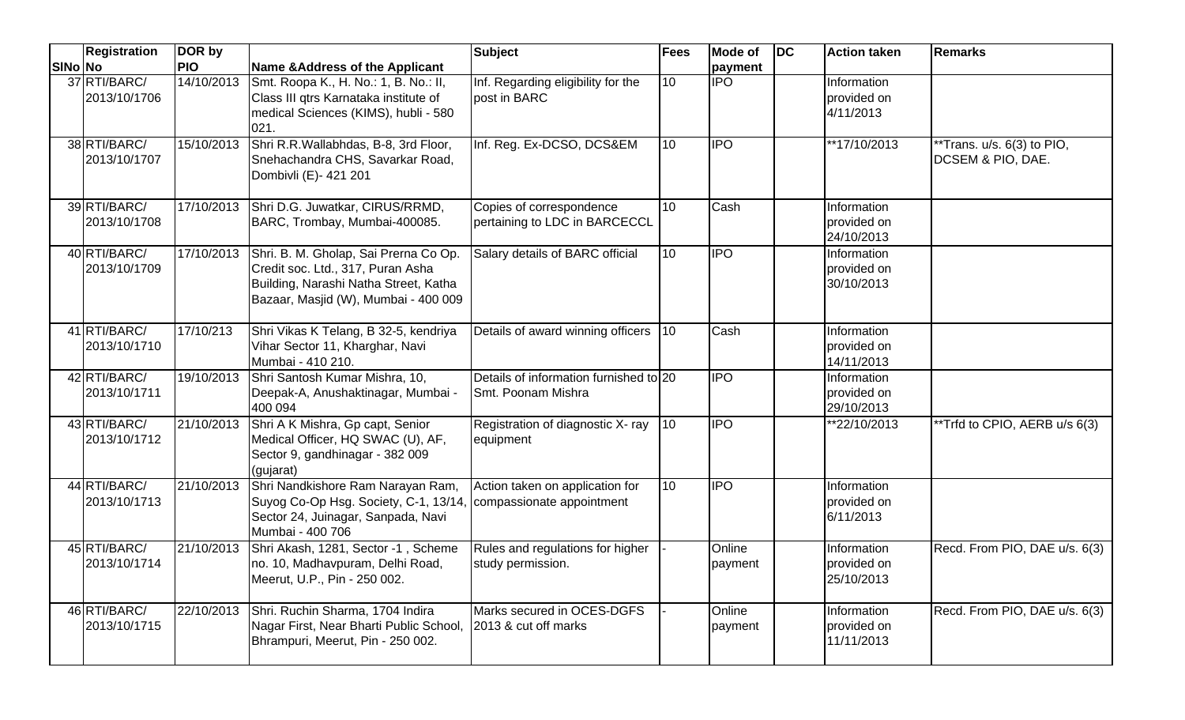|         | <b>Registration</b>          | DOR by     |                                                                                                                                                                        | <b>Subject</b>                                               | Fees         | Mode of           | <b>DC</b> | <b>Action taken</b>                      | <b>Remarks</b>                                                          |
|---------|------------------------------|------------|------------------------------------------------------------------------------------------------------------------------------------------------------------------------|--------------------------------------------------------------|--------------|-------------------|-----------|------------------------------------------|-------------------------------------------------------------------------|
| SINo No |                              | <b>PIO</b> | Name & Address of the Applicant                                                                                                                                        |                                                              |              | payment           |           |                                          |                                                                         |
|         | 37 RTI/BARC/<br>2013/10/1706 | 14/10/2013 | Smt. Roopa K., H. No.: 1, B. No.: II,<br>Class III qtrs Karnataka institute of<br>medical Sciences (KIMS), hubli - 580<br>021.                                         | Inf. Regarding eligibility for the<br>post in BARC           | 10           | $\overline{IPO}$  |           | Information<br>provided on<br>4/11/2013  |                                                                         |
|         | 38 RTI/BARC/<br>2013/10/1707 | 15/10/2013 | Shri R.R. Wallabhdas, B-8, 3rd Floor,<br>Snehachandra CHS, Savarkar Road,<br>Dombivli (E)- 421 201                                                                     | Inf. Reg. Ex-DCSO, DCS&EM                                    | 10           | <b>IPO</b>        |           | $\sqrt{17/10/2013}$                      | $\overline{FT}$ rans. u/s. 6(3) to PIO,<br><b>DCSEM &amp; PIO, DAE.</b> |
|         | 39 RTI/BARC/<br>2013/10/1708 |            | 17/10/2013 Shri D.G. Juwatkar, CIRUS/RRMD,<br>BARC, Trombay, Mumbai-400085.                                                                                            | Copies of correspondence<br>pertaining to LDC in BARCECCL    | 10           | Cash              |           | Information<br>provided on<br>24/10/2013 |                                                                         |
|         | 40 RTI/BARC/<br>2013/10/1709 |            | 17/10/2013 Shri. B. M. Gholap, Sai Prerna Co Op.<br>Credit soc. Ltd., 317, Puran Asha<br>Building, Narashi Natha Street, Katha<br>Bazaar, Masjid (W), Mumbai - 400 009 | Salary details of BARC official                              | 10           | $\overline{1}$    |           | Information<br>provided on<br>30/10/2013 |                                                                         |
|         | 41 RTI/BARC/<br>2013/10/1710 | 17/10/213  | Shri Vikas K Telang, B 32-5, kendriya<br>Vihar Sector 11, Kharghar, Navi<br>Mumbai - 410 210.                                                                          | Details of award winning officers                            | $ 10\rangle$ | Cash              |           | Information<br>provided on<br>14/11/2013 |                                                                         |
|         | 42 RTI/BARC/<br>2013/10/1711 | 19/10/2013 | Shri Santosh Kumar Mishra, 10,<br>Deepak-A, Anushaktinagar, Mumbai -<br>400 094                                                                                        | Details of information furnished to 20<br>Smt. Poonam Mishra |              | <b>IPO</b>        |           | Information<br>provided on<br>29/10/2013 |                                                                         |
|         | 43 RTI/BARC/<br>2013/10/1712 | 21/10/2013 | Shri A K Mishra, Gp capt, Senior<br>Medical Officer, HQ SWAC (U), AF,<br>Sector 9, gandhinagar - 382 009<br>(gujarat)                                                  | Registration of diagnostic X- ray<br>equipment               | $ 10\rangle$ | <b>IPO</b>        |           | **22/10/2013                             | **Trfd to CPIO, AERB u/s 6(3)                                           |
|         | 44 RTI/BARC/<br>2013/10/1713 | 21/10/2013 | Shri Nandkishore Ram Narayan Ram,<br>Suyog Co-Op Hsg. Society, C-1, 13/14, compassionate appointment<br>Sector 24, Juinagar, Sanpada, Navi<br>Mumbai - 400 706         | Action taken on application for                              | 10           | <b>IPO</b>        |           | Information<br>provided on<br>6/11/2013  |                                                                         |
|         | 45 RTI/BARC/<br>2013/10/1714 | 21/10/2013 | Shri Akash, 1281, Sector -1, Scheme<br>Ino. 10, Madhavpuram, Delhi Road,<br>Meerut, U.P., Pin - 250 002.                                                               | Rules and regulations for higher<br>study permission.        |              | Online<br>payment |           | Information<br>provided on<br>25/10/2013 | Recd. From PIO, DAE u/s. 6(3)                                           |
|         | 46 RTI/BARC/<br>2013/10/1715 | 22/10/2013 | Shri. Ruchin Sharma, 1704 Indira<br>Nagar First, Near Bharti Public School,<br>Bhrampuri, Meerut, Pin - 250 002.                                                       | Marks secured in OCES-DGFS<br>2013 & cut off marks           |              | Online<br>payment |           | Information<br>provided on<br>11/11/2013 | Recd. From PIO, DAE u/s. 6(3)                                           |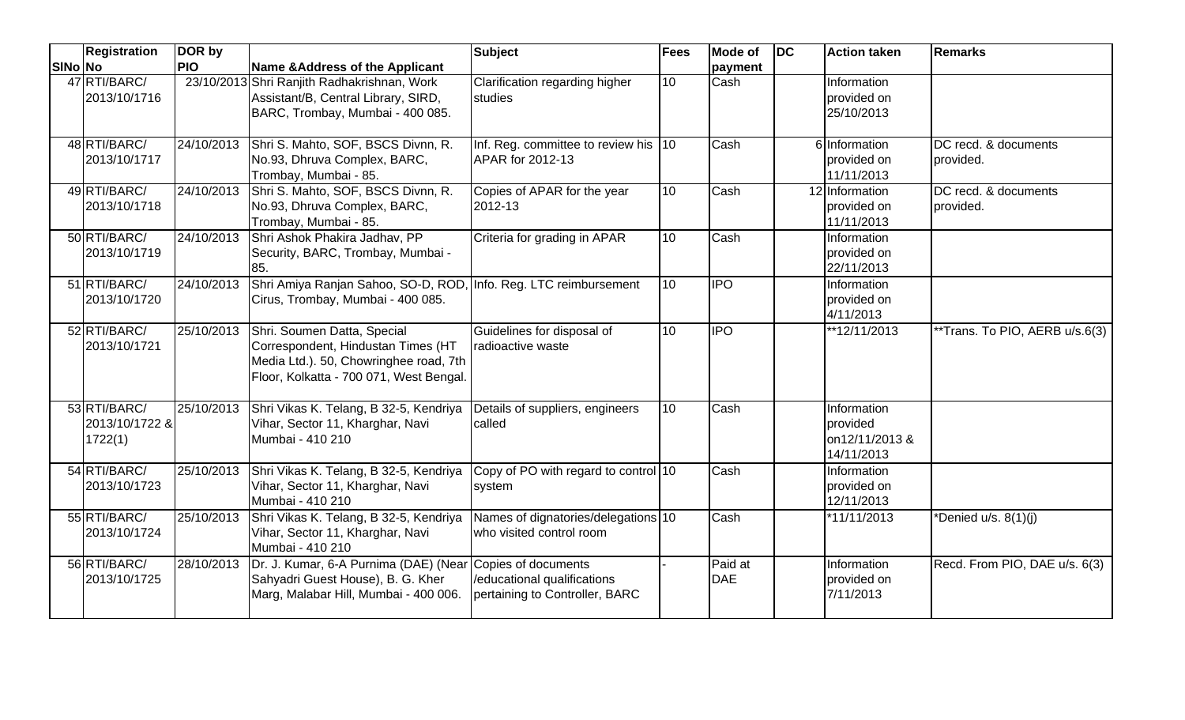|         | Registration                              | DOR by     |                                                                                                                                                                   | <b>Subject</b>                                                  | <b>Fees</b> | <b>Mode of</b>        | $\overline{D}$ | <b>Action taken</b>                                     | <b>Remarks</b>                    |
|---------|-------------------------------------------|------------|-------------------------------------------------------------------------------------------------------------------------------------------------------------------|-----------------------------------------------------------------|-------------|-----------------------|----------------|---------------------------------------------------------|-----------------------------------|
| SINo No |                                           | <b>PIO</b> | Name & Address of the Applicant                                                                                                                                   |                                                                 |             | payment               |                |                                                         |                                   |
|         | 47 RTI/BARC/<br>2013/10/1716              |            | 23/10/2013 Shri Ranjith Radhakrishnan, Work<br>Assistant/B, Central Library, SIRD,<br>BARC, Trombay, Mumbai - 400 085.                                            | Clarification regarding higher<br>studies                       | 10          | Cash                  |                | Information<br>provided on<br>25/10/2013                |                                   |
|         | 48 RTI/BARC/<br>2013/10/1717              | 24/10/2013 | Shri S. Mahto, SOF, BSCS Divnn, R.<br>No.93, Dhruva Complex, BARC,<br>Trombay, Mumbai - 85.                                                                       | Inf. Reg. committee to review his 10<br><b>APAR for 2012-13</b> |             | Cash                  |                | 6 Information<br>provided on<br>11/11/2013              | DC recd. & documents<br>provided. |
|         | 49 RTI/BARC/<br>2013/10/1718              | 24/10/2013 | Shri S. Mahto, SOF, BSCS Divnn, R.<br>No.93, Dhruva Complex, BARC,<br>Trombay, Mumbai - 85.                                                                       | Copies of APAR for the year<br>2012-13                          | 10          | Cash                  |                | 12 Information<br>provided on<br>11/11/2013             | DC recd. & documents<br>provided. |
|         | 50 RTI/BARC/<br>2013/10/1719              | 24/10/2013 | Shri Ashok Phakira Jadhav, PP<br>Security, BARC, Trombay, Mumbai -<br>85.                                                                                         | Criteria for grading in APAR                                    | 10          | Cash                  |                | Information<br>provided on<br>22/11/2013                |                                   |
|         | 51 RTI/BARC/<br>2013/10/1720              | 24/10/2013 | Shri Amiya Ranjan Sahoo, SO-D, ROD, Info. Reg. LTC reimbursement<br>Cirus, Trombay, Mumbai - 400 085.                                                             |                                                                 | 10          | <b>IPO</b>            |                | Information<br>provided on<br>4/11/2013                 |                                   |
|         | 52 RTI/BARC/<br>2013/10/1721              |            | 25/10/2013 Shri. Soumen Datta, Special<br>Correspondent, Hindustan Times (HT<br>Media Ltd.). 50, Chowringhee road, 7th<br>Floor, Kolkatta - 700 071, West Bengal. | Guidelines for disposal of<br>radioactive waste                 | 10          | <b>IPO</b>            |                | **12/11/2013                                            | **Trans. To PIO, AERB u/s.6(3)    |
|         | 53 RTI/BARC/<br>2013/10/1722 &<br>1722(1) |            | 25/10/2013 Shri Vikas K. Telang, B 32-5, Kendriya<br>Vihar, Sector 11, Kharghar, Navi<br>Mumbai - 410 210                                                         | Details of suppliers, engineers<br>called                       | 10          | Cash                  |                | Information<br>provided<br>on12/11/2013 &<br>14/11/2013 |                                   |
|         | 54 RTI/BARC/<br>2013/10/1723              |            | 25/10/2013 Shri Vikas K. Telang, B 32-5, Kendriya<br>Vihar, Sector 11, Kharghar, Navi<br>Mumbai - 410 210                                                         | Copy of PO with regard to control 10<br>system                  |             | Cash                  |                | <b>Information</b><br>provided on<br>12/11/2013         |                                   |
|         | 55 RTI/BARC/<br>2013/10/1724              | 25/10/2013 | Shri Vikas K. Telang, B 32-5, Kendriya<br>Vihar, Sector 11, Kharghar, Navi<br>Mumbai - 410 210                                                                    | Names of dignatories/delegations 10<br>who visited control room |             | Cash                  |                | *11/11/2013                                             | *Denied u/s. 8(1)(j)              |
|         | 56 RTI/BARC/<br>2013/10/1725              | 28/10/2013 | Dr. J. Kumar, 6-A Purnima (DAE) (Near Copies of documents<br>Sahyadri Guest House), B. G. Kher<br>Marg, Malabar Hill, Mumbai - 400 006.                           | /educational qualifications<br>pertaining to Controller, BARC   |             | Paid at<br><b>DAE</b> |                | Information<br>provided on<br>7/11/2013                 | Recd. From PIO, DAE u/s. 6(3)     |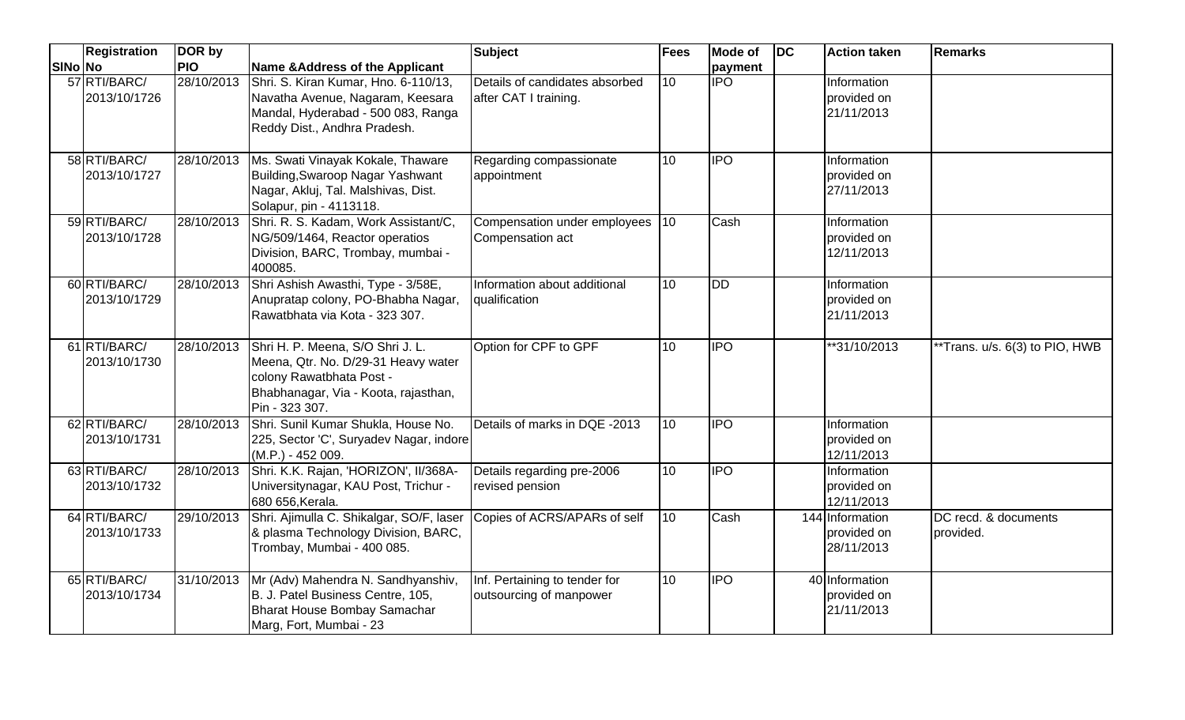|         | <b>Registration</b>          | DOR by     |                                                                                                                                                                          | Subject                                                  | <b>Fees</b>     | <b>Mode of</b>   | <b>DC</b> | <b>Action taken</b>                          | <b>Remarks</b>                    |
|---------|------------------------------|------------|--------------------------------------------------------------------------------------------------------------------------------------------------------------------------|----------------------------------------------------------|-----------------|------------------|-----------|----------------------------------------------|-----------------------------------|
| SINo No |                              | <b>PIO</b> | Name & Address of the Applicant                                                                                                                                          |                                                          |                 | payment          |           |                                              |                                   |
|         | 57 RTI/BARC/<br>2013/10/1726 | 28/10/2013 | Shri. S. Kiran Kumar, Hno. 6-110/13,<br>Navatha Avenue, Nagaram, Keesara<br>Mandal, Hyderabad - 500 083, Ranga<br>Reddy Dist., Andhra Pradesh.                           | Details of candidates absorbed<br>after CAT I training.  | 10              | <b>IPO</b>       |           | Information<br>provided on<br>21/11/2013     |                                   |
|         | 58 RTI/BARC/<br>2013/10/1727 |            | 28/10/2013 Ms. Swati Vinayak Kokale, Thaware<br>Building, Swaroop Nagar Yashwant<br>Nagar, Akluj, Tal. Malshivas, Dist.<br>Solapur, pin - 4113118.                       | Regarding compassionate<br>appointment                   | 10              | $\overline{IPO}$ |           | Information<br>provided on<br>27/11/2013     |                                   |
|         | 59 RTI/BARC/<br>2013/10/1728 | 28/10/2013 | Shri. R. S. Kadam, Work Assistant/C,<br>NG/509/1464, Reactor operatios<br>Division, BARC, Trombay, mumbai -<br>400085.                                                   | Compensation under employees<br>Compensation act         | 110             | Cash             |           | Information<br>provided on<br>12/11/2013     |                                   |
|         | 60 RTI/BARC/<br>2013/10/1729 | 28/10/2013 | Shri Ashish Awasthi, Type - 3/58E,<br>Anupratap colony, PO-Bhabha Nagar,<br>Rawatbhata via Kota - 323 307.                                                               | Information about additional<br>qualification            | $\overline{10}$ | <b>DD</b>        |           | Information<br>provided on<br>21/11/2013     |                                   |
|         | 61 RTI/BARC/<br>2013/10/1730 |            | 28/10/2013 Shri H. P. Meena, S/O Shri J. L.<br>Meena, Qtr. No. D/29-31 Heavy water<br>colony Rawatbhata Post -<br>Bhabhanagar, Via - Koota, rajasthan,<br>Pin - 323 307. | Option for CPF to GPF                                    | 10              | $\overline{IPO}$ |           | **31/10/2013                                 | **Trans. u/s. 6(3) to PIO, HWB    |
|         | 62 RTI/BARC/<br>2013/10/1731 | 28/10/2013 | Shri. Sunil Kumar Shukla, House No.<br>225, Sector 'C', Suryadev Nagar, indore<br>$(M.P.) - 452009.$                                                                     | Details of marks in DQE -2013                            | 10              | <b>IPO</b>       |           | Information<br>provided on<br>12/11/2013     |                                   |
|         | 63 RTI/BARC/<br>2013/10/1732 | 28/10/2013 | Shri. K.K. Rajan, 'HORIZON', II/368A-<br>Universitynagar, KAU Post, Trichur -<br>680 656, Kerala.                                                                        | Details regarding pre-2006<br>revised pension            | 10              | $\overline{IPO}$ |           | Information<br>provided on<br>12/11/2013     |                                   |
|         | 64 RTI/BARC/<br>2013/10/1733 | 29/10/2013 | Shri. Ajimulla C. Shikalgar, SO/F, laser<br>& plasma Technology Division, BARC,<br>Trombay, Mumbai - 400 085.                                                            | Copies of ACRS/APARs of self                             | 10              | Cash             |           | 144 Information<br>provided on<br>28/11/2013 | DC recd. & documents<br>provided. |
|         | 65 RTI/BARC/<br>2013/10/1734 | 31/10/2013 | Mr (Adv) Mahendra N. Sandhyanshiv,<br>B. J. Patel Business Centre, 105,<br>Bharat House Bombay Samachar<br>Marg, Fort, Mumbai - 23                                       | Inf. Pertaining to tender for<br>outsourcing of manpower | 10              | <b>IPO</b>       |           | 40 Information<br>provided on<br>21/11/2013  |                                   |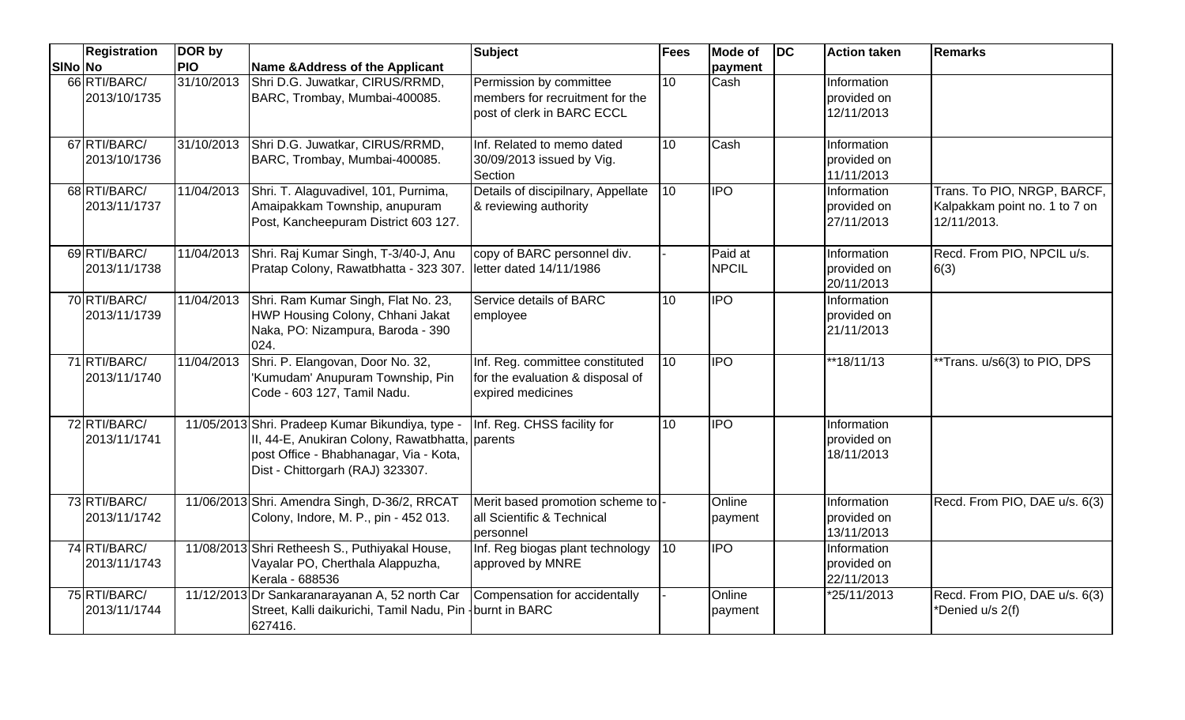|         | <b>Registration</b>          | DOR by     |                                                                                                                                                                                   | <b>Subject</b>                                                                           | Fees            | Mode of                 | DC | <b>Action taken</b>                      | <b>Remarks</b>                                                              |
|---------|------------------------------|------------|-----------------------------------------------------------------------------------------------------------------------------------------------------------------------------------|------------------------------------------------------------------------------------------|-----------------|-------------------------|----|------------------------------------------|-----------------------------------------------------------------------------|
| SINo No |                              | <b>PIO</b> | Name & Address of the Applicant                                                                                                                                                   |                                                                                          |                 | payment                 |    |                                          |                                                                             |
|         | 66 RTI/BARC/<br>2013/10/1735 | 31/10/2013 | Shri D.G. Juwatkar, CIRUS/RRMD,<br>BARC, Trombay, Mumbai-400085.                                                                                                                  | Permission by committee<br>members for recruitment for the<br>post of clerk in BARC ECCL | 10              | Cash                    |    | Information<br>provided on<br>12/11/2013 |                                                                             |
|         | 67 RTI/BARC/<br>2013/10/1736 |            | 31/10/2013 Shri D.G. Juwatkar, CIRUS/RRMD,<br>BARC, Trombay, Mumbai-400085.                                                                                                       | Inf. Related to memo dated<br>30/09/2013 issued by Vig.<br>Section                       | 10              | Cash                    |    | Information<br>provided on<br>11/11/2013 |                                                                             |
|         | 68 RTI/BARC/<br>2013/11/1737 | 11/04/2013 | Shri. T. Alaguvadivel, 101, Purnima,<br>Amaipakkam Township, anupuram<br>Post, Kancheepuram District 603 127.                                                                     | Details of discipilnary, Appellate<br>& reviewing authority                              | 10              | <b>IPO</b>              |    | Information<br>provided on<br>27/11/2013 | Trans. To PIO, NRGP, BARCF,<br>Kalpakkam point no. 1 to 7 on<br>12/11/2013. |
|         | 69 RTI/BARC/<br>2013/11/1738 | 11/04/2013 | Shri. Raj Kumar Singh, T-3/40-J, Anu<br>Pratap Colony, Rawatbhatta - 323 307.                                                                                                     | copy of BARC personnel div.<br>letter dated 14/11/1986                                   |                 | Paid at<br><b>NPCIL</b> |    | Information<br>provided on<br>20/11/2013 | Recd. From PIO, NPCIL u/s.<br>6(3)                                          |
|         | 70 RTI/BARC/<br>2013/11/1739 | 11/04/2013 | Shri. Ram Kumar Singh, Flat No. 23,<br>HWP Housing Colony, Chhani Jakat<br>Naka, PO: Nizampura, Baroda - 390<br>024.                                                              | Service details of BARC<br>employee                                                      | 10 <sup>1</sup> | <b>IPO</b>              |    | Information<br>provided on<br>21/11/2013 |                                                                             |
|         | 71 RTI/BARC/<br>2013/11/1740 | 11/04/2013 | Shri. P. Elangovan, Door No. 32,<br>'Kumudam' Anupuram Township, Pin<br>Code - 603 127, Tamil Nadu.                                                                               | Inf. Reg. committee constituted<br>for the evaluation & disposal of<br>expired medicines | 10              | <b>IPO</b>              |    | **18/11/13                               | **Trans. u/s6(3) to PIO, DPS                                                |
|         | 72 RTI/BARC/<br>2013/11/1741 |            | 11/05/2013 Shri. Pradeep Kumar Bikundiya, type -<br>II, 44-E, Anukiran Colony, Rawatbhatta, parents<br>post Office - Bhabhanagar, Via - Kota,<br>Dist - Chittorgarh (RAJ) 323307. | Inf. Reg. CHSS facility for                                                              | 10              | <b>IPO</b>              |    | Information<br>provided on<br>18/11/2013 |                                                                             |
|         | 73 RTI/BARC/<br>2013/11/1742 |            | 11/06/2013 Shri. Amendra Singh, D-36/2, RRCAT<br>Colony, Indore, M. P., pin - 452 013.                                                                                            | Merit based promotion scheme to<br>all Scientific & Technical<br>personnel               |                 | Online<br>payment       |    | Information<br>provided on<br>13/11/2013 | Recd. From PIO, DAE u/s. 6(3)                                               |
|         | 74 RTI/BARC/<br>2013/11/1743 |            | 11/08/2013 Shri Retheesh S., Puthiyakal House,<br>Vayalar PO, Cherthala Alappuzha,<br>Kerala - 688536                                                                             | Inf. Reg biogas plant technology<br>approved by MNRE                                     | 10              | <b>IPO</b>              |    | Information<br>provided on<br>22/11/2013 |                                                                             |
|         | 75 RTI/BARC/<br>2013/11/1744 |            | 11/12/2013 Dr Sankaranarayanan A, 52 north Car<br>Street, Kalli daikurichi, Tamil Nadu, Pin - burnt in BARC<br>627416.                                                            | Compensation for accidentally                                                            |                 | Online<br>payment       |    | *25/11/2013                              | Recd. From PIO, DAE u/s. 6(3)<br>*Denied u/s 2(f)                           |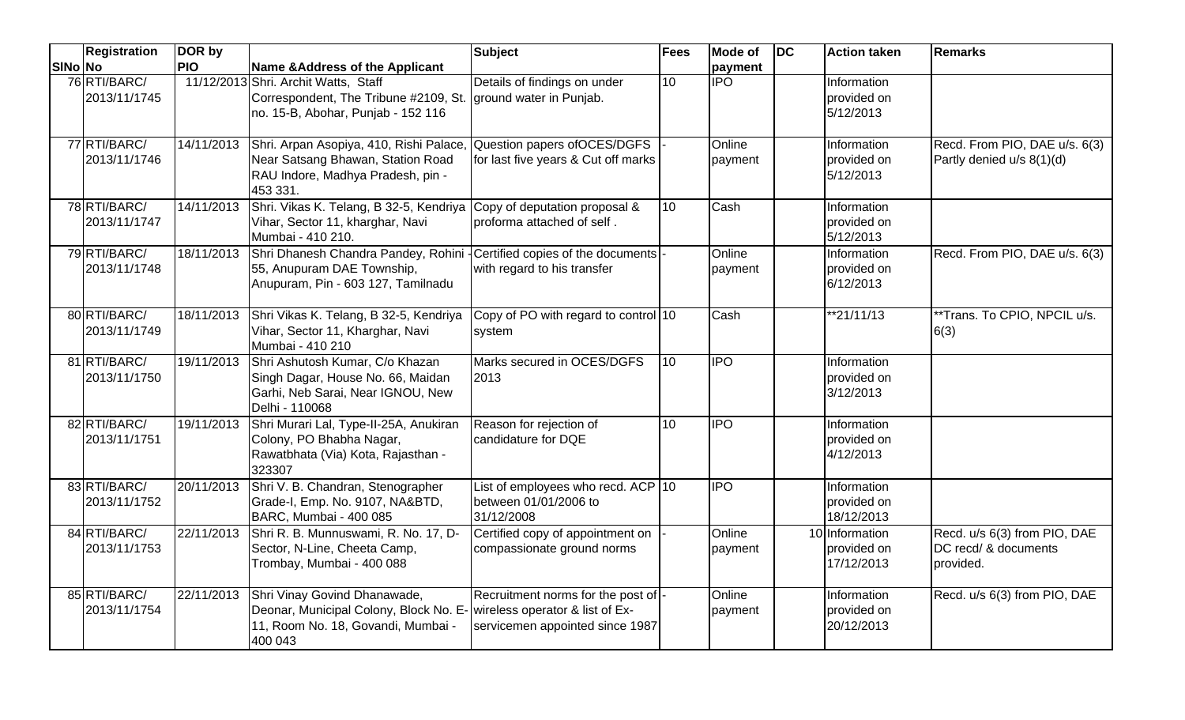|         | <b>Registration</b>          | DOR by     |                                                                                                                                                          | <b>Subject</b>                                                                                            | Fees | <b>Mode of</b>    | $\overline{D}C$ | <b>Action taken</b>                         | <b>Remarks</b>                                                    |
|---------|------------------------------|------------|----------------------------------------------------------------------------------------------------------------------------------------------------------|-----------------------------------------------------------------------------------------------------------|------|-------------------|-----------------|---------------------------------------------|-------------------------------------------------------------------|
| SINo No |                              | <b>PIO</b> | Name & Address of the Applicant                                                                                                                          |                                                                                                           |      | payment           |                 |                                             |                                                                   |
|         | 76 RTI/BARC/<br>2013/11/1745 |            | 11/12/2013 Shri. Archit Watts, Staff<br>Correspondent, The Tribune #2109, St.   ground water in Punjab.<br>no. 15-B, Abohar, Punjab - 152 116            | Details of findings on under                                                                              | 10   | $\overline{IPO}$  |                 | Information<br>provided on<br>5/12/2013     |                                                                   |
|         | 77 RTI/BARC/<br>2013/11/1746 | 14/11/2013 | Shri. Arpan Asopiya, 410, Rishi Palace,<br>Near Satsang Bhawan, Station Road<br>RAU Indore, Madhya Pradesh, pin -<br>453 331.                            | Question papers of OCES/DGFS<br>for last five years & Cut off marks                                       |      | Online<br>payment |                 | Information<br>provided on<br>5/12/2013     | Recd. From PIO, DAE u/s. 6(3)<br>Partly denied u/s 8(1)(d)        |
|         | 78 RTI/BARC/<br>2013/11/1747 | 14/11/2013 | Shri. Vikas K. Telang, B 32-5, Kendriya<br>Vihar, Sector 11, kharghar, Navi<br>Mumbai - 410 210.                                                         | Copy of deputation proposal &<br>proforma attached of self.                                               | 10   | Cash              |                 | Information<br>provided on<br>5/12/2013     |                                                                   |
|         | 79 RTI/BARC/<br>2013/11/1748 |            | 18/11/2013 Shri Dhanesh Chandra Pandey, Rohini - Certified copies of the documents -<br>55, Anupuram DAE Township,<br>Anupuram, Pin - 603 127, Tamilnadu | with regard to his transfer                                                                               |      | Online<br>payment |                 | Information<br>provided on<br>6/12/2013     | Recd. From PIO, DAE u/s. 6(3)                                     |
|         | 80 RTI/BARC/<br>2013/11/1749 |            | 18/11/2013 Shri Vikas K. Telang, B 32-5, Kendriya<br>Vihar, Sector 11, Kharghar, Navi<br>Mumbai - 410 210                                                | Copy of PO with regard to control 10<br>system                                                            |      | Cash              |                 | $*21/11/13$                                 | **Trans. To CPIO, NPCIL u/s.<br>6(3)                              |
|         | 81 RTI/BARC/<br>2013/11/1750 | 19/11/2013 | Shri Ashutosh Kumar, C/o Khazan<br>Singh Dagar, House No. 66, Maidan<br>Garhi, Neb Sarai, Near IGNOU, New<br>Delhi - 110068                              | Marks secured in OCES/DGFS<br>2013                                                                        | 10   | $\overline{1}$ PO |                 | Information<br>provided on<br>3/12/2013     |                                                                   |
|         | 82 RTI/BARC/<br>2013/11/1751 | 19/11/2013 | Shri Murari Lal, Type-II-25A, Anukiran<br>Colony, PO Bhabha Nagar,<br>Rawatbhata (Via) Kota, Rajasthan -<br>323307                                       | Reason for rejection of<br>candidature for DQE                                                            | 10   | $\overline{IPO}$  |                 | Information<br>provided on<br>4/12/2013     |                                                                   |
|         | 83 RTI/BARC/<br>2013/11/1752 | 20/11/2013 | Shri V. B. Chandran, Stenographer<br>Grade-I, Emp. No. 9107, NA&BTD,<br>BARC, Mumbai - 400 085                                                           | List of employees who recd. ACP $ 10\rangle$<br>between 01/01/2006 to<br>31/12/2008                       |      | <b>IPO</b>        |                 | Information<br>provided on<br>18/12/2013    |                                                                   |
|         | 84 RTI/BARC/<br>2013/11/1753 | 22/11/2013 | Shri R. B. Munnuswami, R. No. 17, D-<br>Sector, N-Line, Cheeta Camp,<br>Trombay, Mumbai - 400 088                                                        | Certified copy of appointment on<br>compassionate ground norms                                            |      | Online<br>payment |                 | 10 Information<br>provided on<br>17/12/2013 | Recd. u/s 6(3) from PIO, DAE<br>DC recd/ & documents<br>provided. |
|         | 85 RTI/BARC/<br>2013/11/1754 |            | 22/11/2013 Shri Vinay Govind Dhanawade,<br>Deonar, Municipal Colony, Block No. E-<br>11, Room No. 18, Govandi, Mumbai -<br>400 043                       | Recruitment norms for the post of -<br>wireless operator & list of Ex-<br>servicemen appointed since 1987 |      | Online<br>payment |                 | Information<br>provided on<br>20/12/2013    | Recd. u/s 6(3) from PIO, DAE                                      |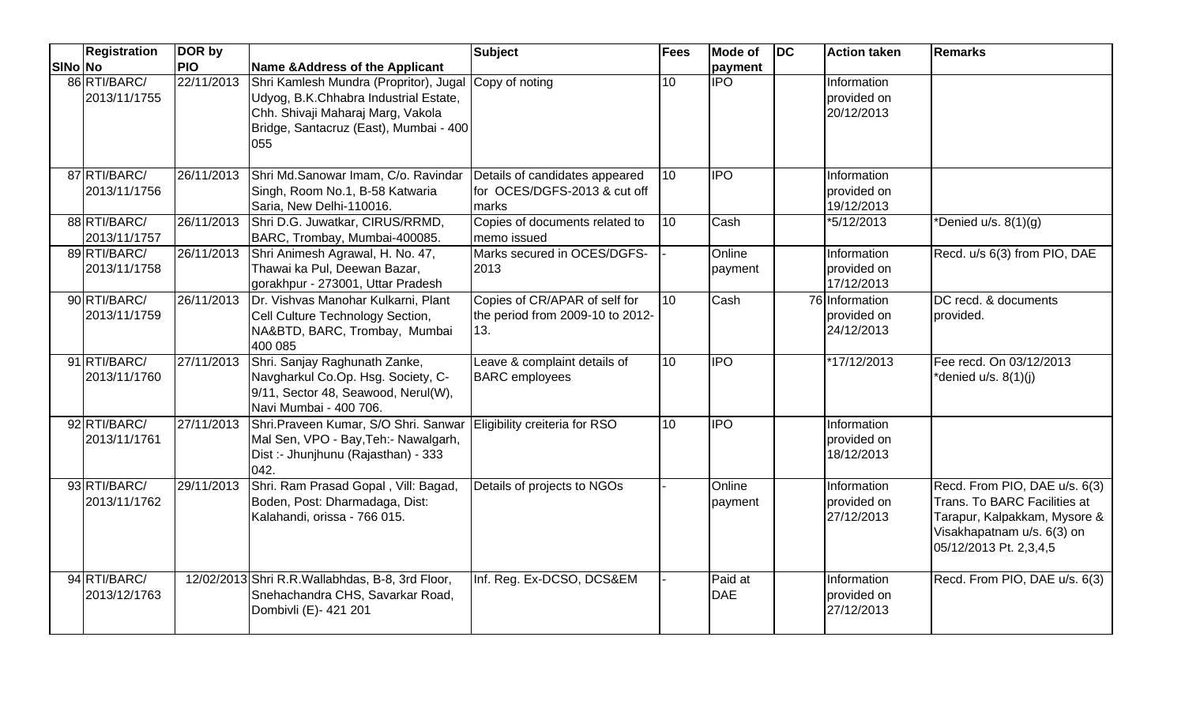|         | <b>Registration</b>          | DOR by     |                                                                                                                                                                       | Subject                                                                  | <b>Fees</b> | Mode of               | DC | <b>Action taken</b>                         | <b>Remarks</b>                                                                                                                                        |
|---------|------------------------------|------------|-----------------------------------------------------------------------------------------------------------------------------------------------------------------------|--------------------------------------------------------------------------|-------------|-----------------------|----|---------------------------------------------|-------------------------------------------------------------------------------------------------------------------------------------------------------|
| SINo No |                              | <b>PIO</b> | <b>Name &amp;Address of the Applicant</b>                                                                                                                             |                                                                          |             | payment               |    |                                             |                                                                                                                                                       |
|         | 86 RTI/BARC/<br>2013/11/1755 | 22/11/2013 | Shri Kamlesh Mundra (Propritor), Jugal<br>Udyog, B.K.Chhabra Industrial Estate,<br>Chh. Shivaji Maharaj Marg, Vakola<br>Bridge, Santacruz (East), Mumbai - 400<br>055 | Copy of noting                                                           | 10          | <b>IPO</b>            |    | Information<br>provided on<br>20/12/2013    |                                                                                                                                                       |
|         | 87 RTI/BARC/<br>2013/11/1756 | 26/11/2013 | Shri Md.Sanowar Imam, C/o. Ravindar<br>Singh, Room No.1, B-58 Katwaria<br>Saria, New Delhi-110016.                                                                    | Details of candidates appeared<br>for OCES/DGFS-2013 & cut off<br>marks  | 10          | <b>IPO</b>            |    | Information<br>provided on<br>19/12/2013    |                                                                                                                                                       |
|         | 88 RTI/BARC/<br>2013/11/1757 | 26/11/2013 | Shri D.G. Juwatkar, CIRUS/RRMD,<br>BARC, Trombay, Mumbai-400085.                                                                                                      | Copies of documents related to<br>memo issued                            | 10          | Cash                  |    | *5/12/2013                                  | *Denied $u/s. 8(1)(g)$                                                                                                                                |
|         | 89 RTI/BARC/<br>2013/11/1758 | 26/11/2013 | Shri Animesh Agrawal, H. No. 47,<br>Thawai ka Pul, Deewan Bazar,<br>gorakhpur - 273001, Uttar Pradesh                                                                 | Marks secured in OCES/DGFS-<br>2013                                      |             | Online<br>payment     |    | Information<br>provided on<br>17/12/2013    | Recd. u/s 6(3) from PIO, DAE                                                                                                                          |
|         | 90 RTI/BARC/<br>2013/11/1759 | 26/11/2013 | Dr. Vishvas Manohar Kulkarni, Plant<br>Cell Culture Technology Section,<br>NA&BTD, BARC, Trombay, Mumbai<br>400 085                                                   | Copies of CR/APAR of self for<br>the period from 2009-10 to 2012-<br>13. | 10          | Cash                  |    | 76 Information<br>provided on<br>24/12/2013 | DC recd. & documents<br>provided.                                                                                                                     |
|         | 91 RTI/BARC/<br>2013/11/1760 | 27/11/2013 | Shri. Sanjay Raghunath Zanke,<br>Navgharkul Co.Op. Hsg. Society, C-<br>9/11, Sector 48, Seawood, Nerul(W),<br>Navi Mumbai - 400 706.                                  | Leave & complaint details of<br><b>BARC</b> employees                    | 10          | $\overline{P}$        |    | *17/12/2013                                 | Fee recd. On 03/12/2013<br>*denied u/s. 8(1)(j)                                                                                                       |
|         | 92 RTI/BARC/<br>2013/11/1761 | 27/11/2013 | Shri.Praveen Kumar, S/O Shri. Sanwar<br>Mal Sen, VPO - Bay, Teh: - Nawalgarh,<br>Dist :- Jhunjhunu (Rajasthan) - 333<br>042.                                          | Eligibility creiteria for RSO                                            | 10          | <b>IPO</b>            |    | Information<br>provided on<br>18/12/2013    |                                                                                                                                                       |
|         | 93 RTI/BARC/<br>2013/11/1762 | 29/11/2013 | Shri. Ram Prasad Gopal, Vill: Bagad,<br>Boden, Post: Dharmadaga, Dist:<br>Kalahandi, orissa - 766 015.                                                                | Details of projects to NGOs                                              |             | Online<br>payment     |    | Information<br>provided on<br>27/12/2013    | Recd. From PIO, DAE u/s. 6(3)<br>Trans. To BARC Facilities at<br>Tarapur, Kalpakkam, Mysore &<br>Visakhapatnam u/s. 6(3) on<br>05/12/2013 Pt. 2,3,4,5 |
|         | 94 RTI/BARC/<br>2013/12/1763 |            | 12/02/2013 Shri R.R. Wallabhdas, B-8, 3rd Floor,<br>Snehachandra CHS, Savarkar Road,<br>Dombivli (E)- 421 201                                                         | Inf. Reg. Ex-DCSO, DCS&EM                                                |             | Paid at<br><b>DAE</b> |    | Information<br>provided on<br>27/12/2013    | Recd. From PIO, DAE u/s. 6(3)                                                                                                                         |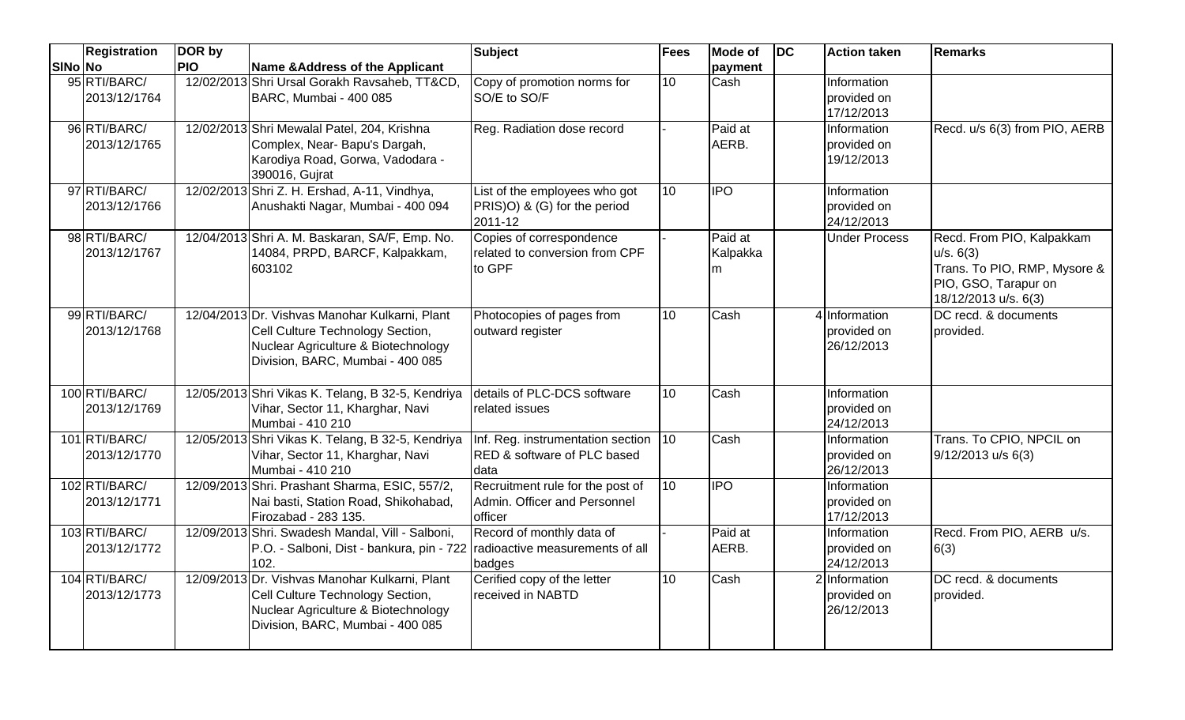|         | <b>Registration</b>           | DOR by     |                                                                                                                                                               | <b>Subject</b>                                                                         | <b>Fees</b> | Mode of                  | <b>IDC</b> | <b>Action taken</b>                        | <b>Remarks</b>                                                                                                         |
|---------|-------------------------------|------------|---------------------------------------------------------------------------------------------------------------------------------------------------------------|----------------------------------------------------------------------------------------|-------------|--------------------------|------------|--------------------------------------------|------------------------------------------------------------------------------------------------------------------------|
| SINo No |                               | <b>PIO</b> | Name & Address of the Applicant                                                                                                                               |                                                                                        |             | payment                  |            |                                            |                                                                                                                        |
|         | 95 RTI/BARC/<br>2013/12/1764  |            | 12/02/2013 Shri Ursal Gorakh Ravsaheb, TT&CD,<br>BARC, Mumbai - 400 085                                                                                       | Copy of promotion norms for<br>SO/E to SO/F                                            | 10          | Cash                     |            | Information<br>provided on<br>17/12/2013   |                                                                                                                        |
|         | 96 RTI/BARC/<br>2013/12/1765  |            | 12/02/2013 Shri Mewalal Patel, 204, Krishna<br>Complex, Near- Bapu's Dargah,<br>Karodiya Road, Gorwa, Vadodara -<br>390016, Gujrat                            | Reg. Radiation dose record                                                             |             | Paid at<br>AERB.         |            | Information<br>provided on<br>19/12/2013   | Recd. u/s 6(3) from PIO, AERB                                                                                          |
|         | 97 RTI/BARC/<br>2013/12/1766  |            | 12/02/2013 Shri Z. H. Ershad, A-11, Vindhya,<br>Anushakti Nagar, Mumbai - 400 094                                                                             | List of the employees who got<br>PRIS)O) & (G) for the period<br>2011-12               | 10          | <b>IPO</b>               |            | Information<br>provided on<br>24/12/2013   |                                                                                                                        |
|         | 98 RTI/BARC/<br>2013/12/1767  |            | 12/04/2013 Shri A. M. Baskaran, SA/F, Emp. No.<br>14084, PRPD, BARCF, Kalpakkam,<br>603102                                                                    | Copies of correspondence<br>related to conversion from CPF<br>to GPF                   |             | Paid at<br>Kalpakka<br>m |            | <b>Under Process</b>                       | Recd. From PIO, Kalpakkam<br>u/s. 6(3)<br>Trans. To PIO, RMP, Mysore &<br>PIO, GSO, Tarapur on<br>18/12/2013 u/s. 6(3) |
|         | 99 RTI/BARC/<br>2013/12/1768  |            | 12/04/2013 Dr. Vishvas Manohar Kulkarni, Plant<br>Cell Culture Technology Section,<br>Nuclear Agriculture & Biotechnology<br>Division, BARC, Mumbai - 400 085 | Photocopies of pages from<br>outward register                                          | 10          | Cash                     |            | 4 Information<br>provided on<br>26/12/2013 | DC recd. & documents<br>provided.                                                                                      |
|         | 100 RTI/BARC/<br>2013/12/1769 |            | 12/05/2013 Shri Vikas K. Telang, B 32-5, Kendriya<br>Vihar, Sector 11, Kharghar, Navi<br>Mumbai - 410 210                                                     | details of PLC-DCS software<br>related issues                                          | 10          | Cash                     |            | Information<br>provided on<br>24/12/2013   |                                                                                                                        |
|         | 101 RTI/BARC/<br>2013/12/1770 |            | 12/05/2013 Shri Vikas K. Telang, B 32-5, Kendriya<br>Vihar, Sector 11, Kharghar, Navi<br>Mumbai - 410 210                                                     | Inf. Reg. instrumentation section 10<br><b>RED &amp; software of PLC based</b><br>data |             | Cash                     |            | Information<br>provided on<br>26/12/2013   | Trans. To CPIO, NPCIL on<br>9/12/2013 u/s 6(3)                                                                         |
|         | 102 RTI/BARC/<br>2013/12/1771 |            | 12/09/2013 Shri. Prashant Sharma, ESIC, 557/2,<br>Nai basti, Station Road, Shikohabad,<br>Firozabad - 283 135.                                                | Recruitment rule for the post of<br>Admin. Officer and Personnel<br>officer            | 10          | $\overline{IPO}$         |            | Information<br>provided on<br>17/12/2013   |                                                                                                                        |
|         | 103 RTI/BARC/<br>2013/12/1772 |            | 12/09/2013 Shri. Swadesh Mandal, Vill - Salboni,<br>P.O. - Salboni, Dist - bankura, pin - 722 radioactive measurements of all<br>102.                         | Record of monthly data of<br>badges                                                    |             | Paid at<br>AERB.         |            | Information<br>provided on<br>24/12/2013   | Recd. From PIO, AERB u/s.<br>6(3)                                                                                      |
|         | 104 RTI/BARC/<br>2013/12/1773 |            | 12/09/2013 Dr. Vishvas Manohar Kulkarni, Plant<br>Cell Culture Technology Section,<br>Nuclear Agriculture & Biotechnology<br>Division, BARC, Mumbai - 400 085 | Cerified copy of the letter<br>received in NABTD                                       | 10          | Cash                     |            | 2 Information<br>provided on<br>26/12/2013 | DC recd. & documents<br>provided.                                                                                      |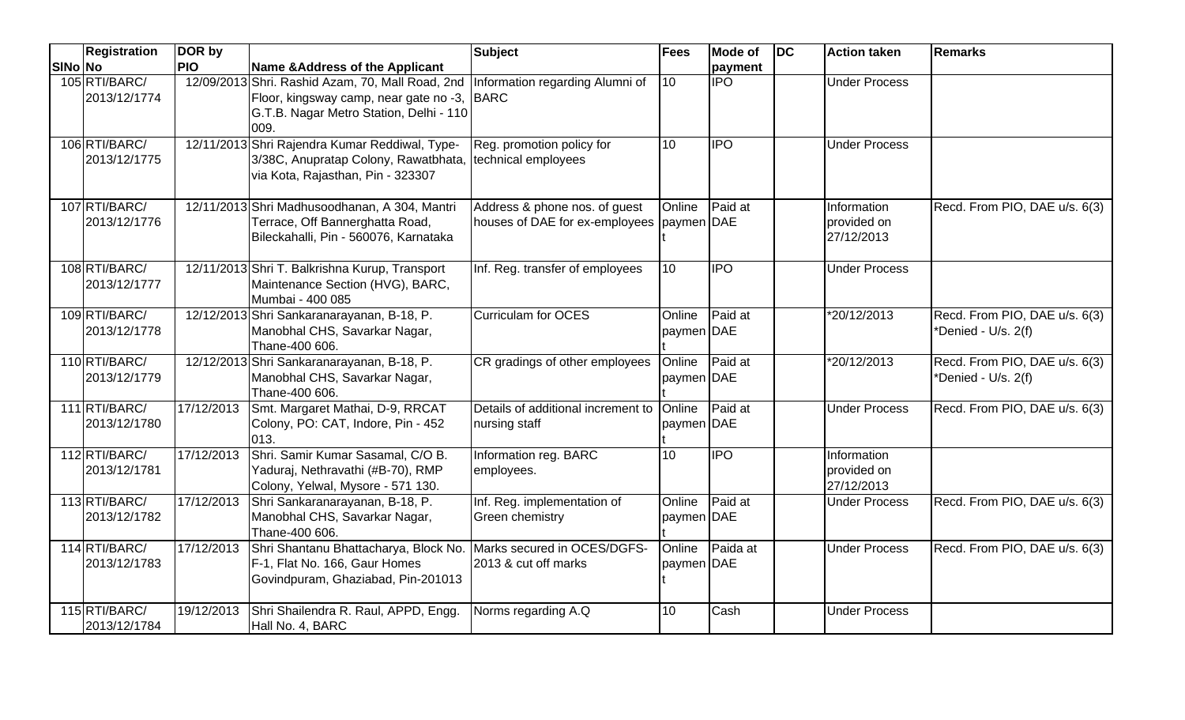|         | <b>Registration</b>           | DOR by     |                                                                                                                                               | <b>Subject</b>                                                             | <b>Fees</b>          | <b>Mode of</b>   | <b>IDC</b> | <b>Action taken</b>                      | <b>Remarks</b>                                       |
|---------|-------------------------------|------------|-----------------------------------------------------------------------------------------------------------------------------------------------|----------------------------------------------------------------------------|----------------------|------------------|------------|------------------------------------------|------------------------------------------------------|
| SINo No |                               | <b>PIO</b> | Name & Address of the Applicant                                                                                                               |                                                                            |                      | payment          |            |                                          |                                                      |
|         | 105 RTI/BARC/<br>2013/12/1774 |            | 12/09/2013 Shri. Rashid Azam, 70, Mall Road, 2nd<br>Floor, kingsway camp, near gate no -3,<br>G.T.B. Nagar Metro Station, Delhi - 110<br>009. | Information regarding Alumni of<br>BARC                                    | 10                   | $\overline{IPO}$ |            | <b>Under Process</b>                     |                                                      |
|         | 106 RTI/BARC/<br>2013/12/1775 |            | 12/11/2013 Shri Rajendra Kumar Reddiwal, Type-<br>3/38C, Anupratap Colony, Rawatbhata,<br>via Kota, Rajasthan, Pin - 323307                   | Reg. promotion policy for<br>technical employees                           | 10                   | <b>IPO</b>       |            | <b>Under Process</b>                     |                                                      |
|         | 107 RTI/BARC/<br>2013/12/1776 |            | 12/11/2013 Shri Madhusoodhanan, A 304, Mantri<br>Terrace, Off Bannerghatta Road,<br>Bileckahalli, Pin - 560076, Karnataka                     | Address & phone nos. of guest<br>houses of DAE for ex-employees paymen DAE | Online               | Paid at          |            | Information<br>provided on<br>27/12/2013 | Recd. From PIO, DAE u/s. 6(3)                        |
|         | 108 RTI/BARC/<br>2013/12/1777 |            | 12/11/2013 Shri T. Balkrishna Kurup, Transport<br>Maintenance Section (HVG), BARC,<br>Mumbai - 400 085                                        | Inf. Reg. transfer of employees                                            | 10                   | <b>IPO</b>       |            | <b>Under Process</b>                     |                                                      |
|         | 109 RTI/BARC/<br>2013/12/1778 |            | 12/12/2013 Shri Sankaranarayanan, B-18, P.<br>Manobhal CHS, Savarkar Nagar,<br>Thane-400 606.                                                 | <b>Curriculam for OCES</b>                                                 | Online<br>paymen DAE | Paid at          |            | $\sqrt[12]{20/12}/2013$                  | Recd. From PIO, DAE u/s. 6(3)<br>*Denied - U/s. 2(f) |
|         | 110RTI/BARC/<br>2013/12/1779  |            | 12/12/2013 Shri Sankaranarayanan, B-18, P.<br>Manobhal CHS, Savarkar Nagar,<br>Thane-400 606.                                                 | CR gradings of other employees                                             | Online<br>paymen DAE | Paid at          |            | *20/12/2013                              | Recd. From PIO, DAE u/s. 6(3)<br>*Denied - U/s. 2(f) |
|         | 111 RTI/BARC/<br>2013/12/1780 | 17/12/2013 | Smt. Margaret Mathai, D-9, RRCAT<br>Colony, PO: CAT, Indore, Pin - 452<br>013.                                                                | Details of additional increment to<br>nursing staff                        | Online<br>paymen DAE | Paid at          |            | <b>Under Process</b>                     | Recd. From PIO, DAE u/s. 6(3)                        |
|         | 112RTI/BARC/<br>2013/12/1781  | 17/12/2013 | Shri. Samir Kumar Sasamal, C/O B.<br>Yaduraj, Nethravathi (#B-70), RMP<br>Colony, Yelwal, Mysore - 571 130.                                   | Information reg. BARC<br>employees.                                        | 10                   | <b>IPO</b>       |            | Information<br>provided on<br>27/12/2013 |                                                      |
|         | 113RTI/BARC/<br>2013/12/1782  | 17/12/2013 | Shri Sankaranarayanan, B-18, P.<br>Manobhal CHS, Savarkar Nagar,<br>Thane-400 606.                                                            | Inf. Reg. implementation of<br>Green chemistry                             | Online<br>paymen DAE | Paid at          |            | <b>Under Process</b>                     | Recd. From PIO, DAE u/s. 6(3)                        |
|         | 114 RTI/BARC/<br>2013/12/1783 | 17/12/2013 | Shri Shantanu Bhattacharya, Block No. Marks secured in OCES/DGFS-<br>F-1, Flat No. 166, Gaur Homes<br>Govindpuram, Ghaziabad, Pin-201013      | 2013 & cut off marks                                                       | Online<br>paymen DAE | Paida at         |            | <b>Under Process</b>                     | Recd. From PIO, DAE u/s. 6(3)                        |
|         | 115 RTI/BARC/<br>2013/12/1784 | 19/12/2013 | Shri Shailendra R. Raul, APPD, Engg.<br>Hall No. 4, BARC                                                                                      | Norms regarding A.Q                                                        | 10                   | Cash             |            | <b>Under Process</b>                     |                                                      |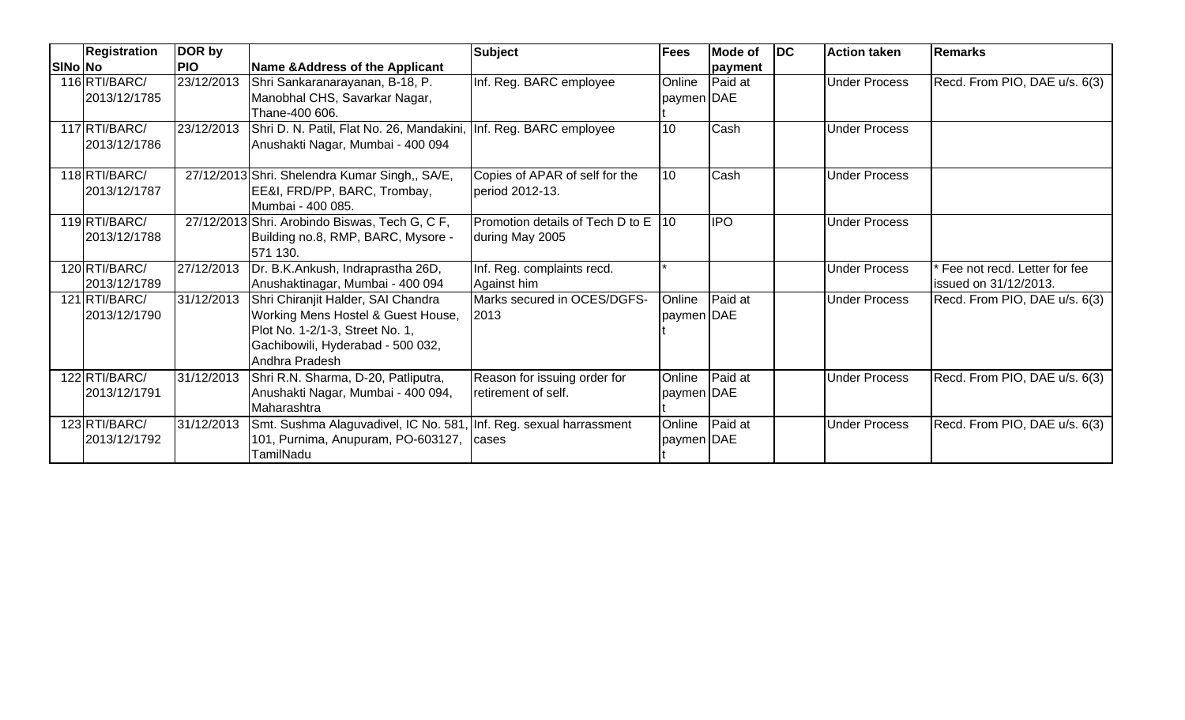|         | <b>Registration</b> | DOR by     |                                                                    | <b>Subject</b>                      | <b>Fees</b> | <b>Mode of</b> | $\overline{D}$ | <b>Action taken</b>  | <b>Remarks</b>                |
|---------|---------------------|------------|--------------------------------------------------------------------|-------------------------------------|-------------|----------------|----------------|----------------------|-------------------------------|
| SINo No |                     | <b>PIO</b> | Name & Address of the Applicant                                    |                                     |             | payment        |                |                      |                               |
|         | 116 RTI/BARC/       | 23/12/2013 | Shri Sankaranarayanan, B-18, P.                                    | Inf. Reg. BARC employee             | Online      | Paid at        |                | <b>Under Process</b> | Recd. From PIO, DAE u/s. 6(3) |
|         | 2013/12/1785        |            | Manobhal CHS, Savarkar Nagar,                                      |                                     | paymen DAE  |                |                |                      |                               |
|         |                     |            | Thane-400 606.                                                     |                                     |             |                |                |                      |                               |
|         | 117 RTI/BARC/       | 23/12/2013 | Shri D. N. Patil, Flat No. 26, Mandakini, Inf. Reg. BARC employee  |                                     | 10          | Cash           |                | <b>Under Process</b> |                               |
|         | 2013/12/1786        |            | Anushakti Nagar, Mumbai - 400 094                                  |                                     |             |                |                |                      |                               |
|         |                     |            |                                                                    |                                     |             |                |                |                      |                               |
|         | 118RTI/BARC/        |            | 27/12/2013 Shri. Shelendra Kumar Singh,, SA/E,                     | Copies of APAR of self for the      | 10          | Cash           |                | <b>Under Process</b> |                               |
|         | 2013/12/1787        |            | EE&I, FRD/PP, BARC, Trombay,                                       | period 2012-13.                     |             |                |                |                      |                               |
|         |                     |            | Mumbai - 400 085.                                                  |                                     |             |                |                |                      |                               |
|         | 119RTI/BARC/        |            | 27/12/2013 Shri. Arobindo Biswas, Tech G, C F,                     | Promotion details of Tech D to E 10 |             | <b>IPO</b>     |                | <b>Under Process</b> |                               |
|         | 2013/12/1788        |            | Building no.8, RMP, BARC, Mysore -                                 | during May 2005                     |             |                |                |                      |                               |
|         |                     |            | 571 130.                                                           |                                     |             |                |                |                      |                               |
|         | 120 RTI/BARC/       | 27/12/2013 | Dr. B.K.Ankush, Indraprastha 26D,                                  | Inf. Reg. complaints recd.          |             |                |                | <b>Under Process</b> | Fee not recd. Letter for fee  |
|         | 2013/12/1789        |            | Anushaktinagar, Mumbai - 400 094                                   | Against him                         |             |                |                |                      | issued on 31/12/2013.         |
|         | 121 RTI/BARC/       | 31/12/2013 | Shri Chiranjit Halder, SAI Chandra                                 | Marks secured in OCES/DGFS-         | Online      | Paid at        |                | <b>Under Process</b> | Recd. From PIO, DAE u/s. 6(3) |
|         | 2013/12/1790        |            | Working Mens Hostel & Guest House,                                 | 2013                                | paymen DAE  |                |                |                      |                               |
|         |                     |            | Plot No. 1-2/1-3, Street No. 1,                                    |                                     |             |                |                |                      |                               |
|         |                     |            | Gachibowili, Hyderabad - 500 032,                                  |                                     |             |                |                |                      |                               |
|         |                     |            | Andhra Pradesh                                                     |                                     |             |                |                |                      |                               |
|         | 122 RTI/BARC/       | 31/12/2013 | Shri R.N. Sharma, D-20, Patliputra,                                | Reason for issuing order for        | Online      | Paid at        |                | <b>Under Process</b> | Recd. From PIO, DAE u/s. 6(3) |
|         | 2013/12/1791        |            | Anushakti Nagar, Mumbai - 400 094,                                 | retirement of self.                 | paymen DAE  |                |                |                      |                               |
|         |                     |            | Maharashtra                                                        |                                     |             |                |                |                      |                               |
|         | 123 RTI/BARC/       | 31/12/2013 | Smt. Sushma Alaguvadivel, IC No. 581, Inf. Reg. sexual harrassment |                                     | Online      | Paid at        |                | <b>Under Process</b> | Recd. From PIO, DAE u/s. 6(3) |
|         | 2013/12/1792        |            | 101, Purnima, Anupuram, PO-603127, cases                           |                                     | paymen DAE  |                |                |                      |                               |
|         |                     |            | TamilNadu                                                          |                                     |             |                |                |                      |                               |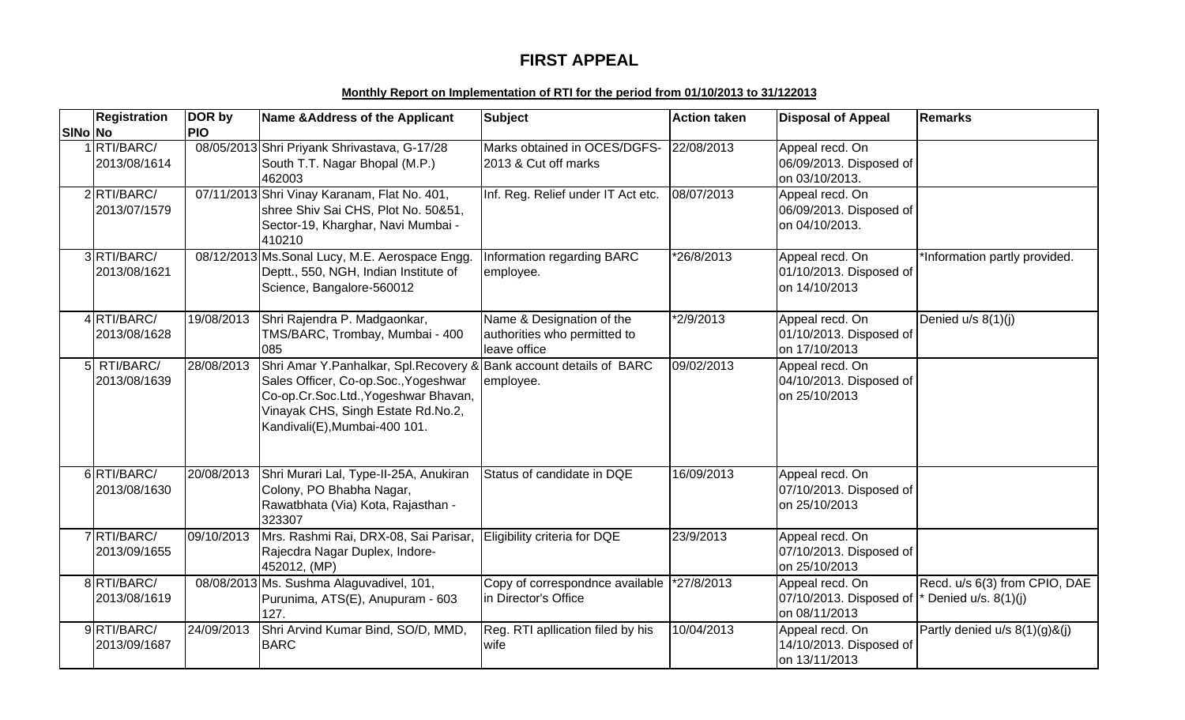# **FIRST APPEAL**

### **Monthly Report on Implementation of RTI for the period from 01/10/2013 to 31/122013**

|         | <b>Registration</b>         | DOR by     | Name & Address of the Applicant                                                                                                                                                                                             | <b>Subject</b>                                                            | <b>Action taken</b> | <b>Disposal of Appeal</b>                                    | <b>Remarks</b>                                           |
|---------|-----------------------------|------------|-----------------------------------------------------------------------------------------------------------------------------------------------------------------------------------------------------------------------------|---------------------------------------------------------------------------|---------------------|--------------------------------------------------------------|----------------------------------------------------------|
| SINo No |                             | <b>PIO</b> |                                                                                                                                                                                                                             |                                                                           |                     |                                                              |                                                          |
|         | 1 RTI/BARC/<br>2013/08/1614 |            | 08/05/2013 Shri Priyank Shrivastava, G-17/28<br>South T.T. Nagar Bhopal (M.P.)<br>462003                                                                                                                                    | Marks obtained in OCES/DGFS-<br>2013 & Cut off marks                      | 22/08/2013          | Appeal recd. On<br>06/09/2013. Disposed of<br>on 03/10/2013. |                                                          |
|         | 2 RTI/BARC/<br>2013/07/1579 |            | 07/11/2013 Shri Vinay Karanam, Flat No. 401,<br>shree Shiv Sai CHS, Plot No. 50&51,<br>Sector-19, Kharghar, Navi Mumbai -<br>410210                                                                                         | Inf. Reg. Relief under IT Act etc.                                        | 08/07/2013          | Appeal recd. On<br>06/09/2013. Disposed of<br>on 04/10/2013. |                                                          |
|         | 3RTI/BARC/<br>2013/08/1621  |            | 08/12/2013 Ms. Sonal Lucy, M.E. Aerospace Engg.<br>Deptt., 550, NGH, Indian Institute of<br>Science, Bangalore-560012                                                                                                       | Information regarding BARC<br>employee.                                   | *26/8/2013          | Appeal recd. On<br>01/10/2013. Disposed of<br>on 14/10/2013  | *Information partly provided.                            |
|         | 4RTI/BARC/<br>2013/08/1628  | 19/08/2013 | Shri Rajendra P. Madgaonkar,<br>TMS/BARC, Trombay, Mumbai - 400<br>085                                                                                                                                                      | Name & Designation of the<br>authorities who permitted to<br>leave office | *2/9/2013           | Appeal recd. On<br>01/10/2013. Disposed of<br>on 17/10/2013  | Denied u/s 8(1)(j)                                       |
|         | 5 RTI/BARC/<br>2013/08/1639 | 28/08/2013 | Shri Amar Y. Panhalkar, Spl. Recovery & Bank account details of BARC<br>Sales Officer, Co-op.Soc., Yogeshwar<br>Co-op.Cr.Soc.Ltd., Yogeshwar Bhavan,<br>Vinayak CHS, Singh Estate Rd.No.2,<br>Kandivali(E), Mumbai-400 101. | employee.                                                                 | 09/02/2013          | Appeal recd. On<br>04/10/2013. Disposed of<br>on 25/10/2013  |                                                          |
|         | 6 RTI/BARC/<br>2013/08/1630 | 20/08/2013 | Shri Murari Lal, Type-II-25A, Anukiran<br>Colony, PO Bhabha Nagar,<br>Rawatbhata (Via) Kota, Rajasthan -<br>323307                                                                                                          | Status of candidate in DQE                                                | 16/09/2013          | Appeal recd. On<br>07/10/2013. Disposed of<br>on 25/10/2013  |                                                          |
|         | 7RTI/BARC/<br>2013/09/1655  | 09/10/2013 | Mrs. Rashmi Rai, DRX-08, Sai Parisar,<br>Rajecdra Nagar Duplex, Indore-<br>452012, (MP)                                                                                                                                     | Eligibility criteria for DQE                                              | 23/9/2013           | Appeal recd. On<br>07/10/2013. Disposed of<br>on 25/10/2013  |                                                          |
|         | 8 RTI/BARC/<br>2013/08/1619 |            | 08/08/2013 Ms. Sushma Alaguvadivel, 101,<br>Purunima, ATS(E), Anupuram - 603<br>127.                                                                                                                                        | Copy of correspondnce available<br>in Director's Office                   | *27/8/2013          | Appeal recd. On<br>07/10/2013. Disposed of<br>on 08/11/2013  | Recd. u/s 6(3) from CPIO, DAE<br>* Denied $u/s. 8(1)(i)$ |
|         | 9RTI/BARC/<br>2013/09/1687  | 24/09/2013 | Shri Arvind Kumar Bind, SO/D, MMD,<br><b>BARC</b>                                                                                                                                                                           | Reg. RTI apllication filed by his<br>wife                                 | 10/04/2013          | Appeal recd. On<br>14/10/2013. Disposed of<br>on 13/11/2013  | Partly denied $u/s$ 8(1)(g)&(j)                          |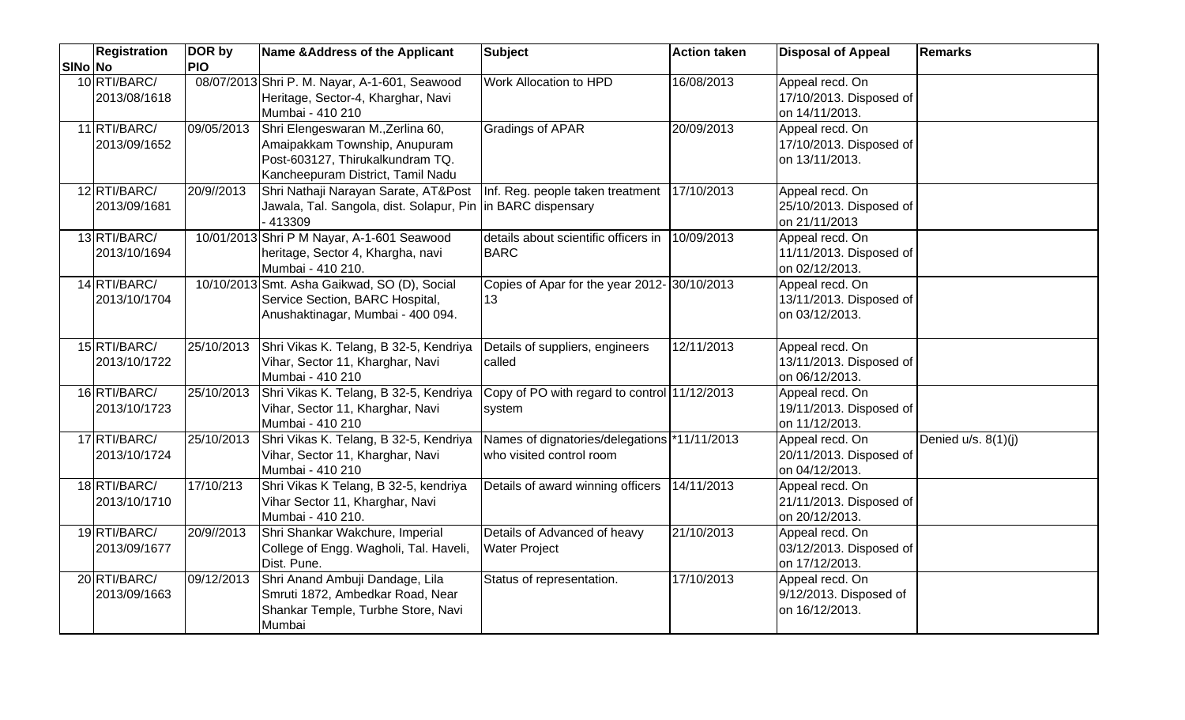|         | <b>Registration</b>          | DOR by     | Name & Address of the Applicant                                                                                                             | <b>Subject</b>                                                           | <b>Action taken</b> | <b>Disposal of Appeal</b>                                    | <b>Remarks</b>      |
|---------|------------------------------|------------|---------------------------------------------------------------------------------------------------------------------------------------------|--------------------------------------------------------------------------|---------------------|--------------------------------------------------------------|---------------------|
| SINo No |                              | <b>PIO</b> |                                                                                                                                             |                                                                          |                     |                                                              |                     |
|         | 10 RTI/BARC/<br>2013/08/1618 |            | 08/07/2013 Shri P. M. Nayar, A-1-601, Seawood<br>Heritage, Sector-4, Kharghar, Navi<br>Mumbai - 410 210                                     | Work Allocation to HPD                                                   | 16/08/2013          | Appeal recd. On<br>17/10/2013. Disposed of<br>on 14/11/2013. |                     |
|         | 11 RTI/BARC/<br>2013/09/1652 | 09/05/2013 | Shri Elengeswaran M., Zerlina 60,<br>Amaipakkam Township, Anupuram<br>Post-603127, Thirukalkundram TQ.<br>Kancheepuram District, Tamil Nadu | <b>Gradings of APAR</b>                                                  | 20/09/2013          | Appeal recd. On<br>17/10/2013. Disposed of<br>on 13/11/2013. |                     |
|         | 12 RTI/BARC/<br>2013/09/1681 | 20/9//2013 | Shri Nathaji Narayan Sarate, AT&Post<br>Jawala, Tal. Sangola, dist. Solapur, Pin  in BARC dispensary<br>413309                              | Inf. Reg. people taken treatment 17/10/2013                              |                     | Appeal recd. On<br>25/10/2013. Disposed of<br>on 21/11/2013  |                     |
|         | 13 RTI/BARC/<br>2013/10/1694 |            | 10/01/2013 Shri P M Nayar, A-1-601 Seawood<br>heritage, Sector 4, Khargha, navi<br>Mumbai - 410 210.                                        | details about scientific officers in 10/09/2013<br><b>BARC</b>           |                     | Appeal recd. On<br>11/11/2013. Disposed of<br>on 02/12/2013. |                     |
|         | 14 RTI/BARC/<br>2013/10/1704 |            | 10/10/2013 Smt. Asha Gaikwad, SO (D), Social<br>Service Section, BARC Hospital,<br>Anushaktinagar, Mumbai - 400 094.                        | Copies of Apar for the year 2012- 30/10/2013<br>13                       |                     | Appeal recd. On<br>13/11/2013. Disposed of<br>on 03/12/2013. |                     |
|         | 15 RTI/BARC/<br>2013/10/1722 | 25/10/2013 | Shri Vikas K. Telang, B 32-5, Kendriya<br>Vihar, Sector 11, Kharghar, Navi<br>Mumbai - 410 210                                              | Details of suppliers, engineers<br>called                                | 12/11/2013          | Appeal recd. On<br>13/11/2013. Disposed of<br>on 06/12/2013. |                     |
|         | 16 RTI/BARC/<br>2013/10/1723 | 25/10/2013 | Shri Vikas K. Telang, B 32-5, Kendriya<br>Vihar, Sector 11, Kharghar, Navi<br>Mumbai - 410 210                                              | Copy of PO with regard to control 11/12/2013<br>system                   |                     | Appeal recd. On<br>19/11/2013. Disposed of<br>on 11/12/2013. |                     |
|         | 17 RTI/BARC/<br>2013/10/1724 | 25/10/2013 | Shri Vikas K. Telang, B 32-5, Kendriya<br>Vihar, Sector 11, Kharghar, Navi<br>Mumbai - 410 210                                              | Names of dignatories/delegations *11/11/2013<br>who visited control room |                     | Appeal recd. On<br>20/11/2013. Disposed of<br>on 04/12/2013. | Denied u/s. 8(1)(j) |
|         | 18 RTI/BARC/<br>2013/10/1710 | 17/10/213  | Shri Vikas K Telang, B 32-5, kendriya<br>Vihar Sector 11, Kharghar, Navi<br>Mumbai - 410 210.                                               | Details of award winning officers 14/11/2013                             |                     | Appeal recd. On<br>21/11/2013. Disposed of<br>on 20/12/2013. |                     |
|         | 19 RTI/BARC/<br>2013/09/1677 | 20/9//2013 | Shri Shankar Wakchure, Imperial<br>College of Engg. Wagholi, Tal. Haveli,<br>Dist. Pune.                                                    | Details of Advanced of heavy<br><b>Water Project</b>                     | 21/10/2013          | Appeal recd. On<br>03/12/2013. Disposed of<br>on 17/12/2013. |                     |
|         | 20 RTI/BARC/<br>2013/09/1663 | 09/12/2013 | Shri Anand Ambuji Dandage, Lila<br>Smruti 1872, Ambedkar Road, Near<br>Shankar Temple, Turbhe Store, Navi<br>Mumbai                         | Status of representation.                                                | 17/10/2013          | Appeal recd. On<br>9/12/2013. Disposed of<br>on 16/12/2013.  |                     |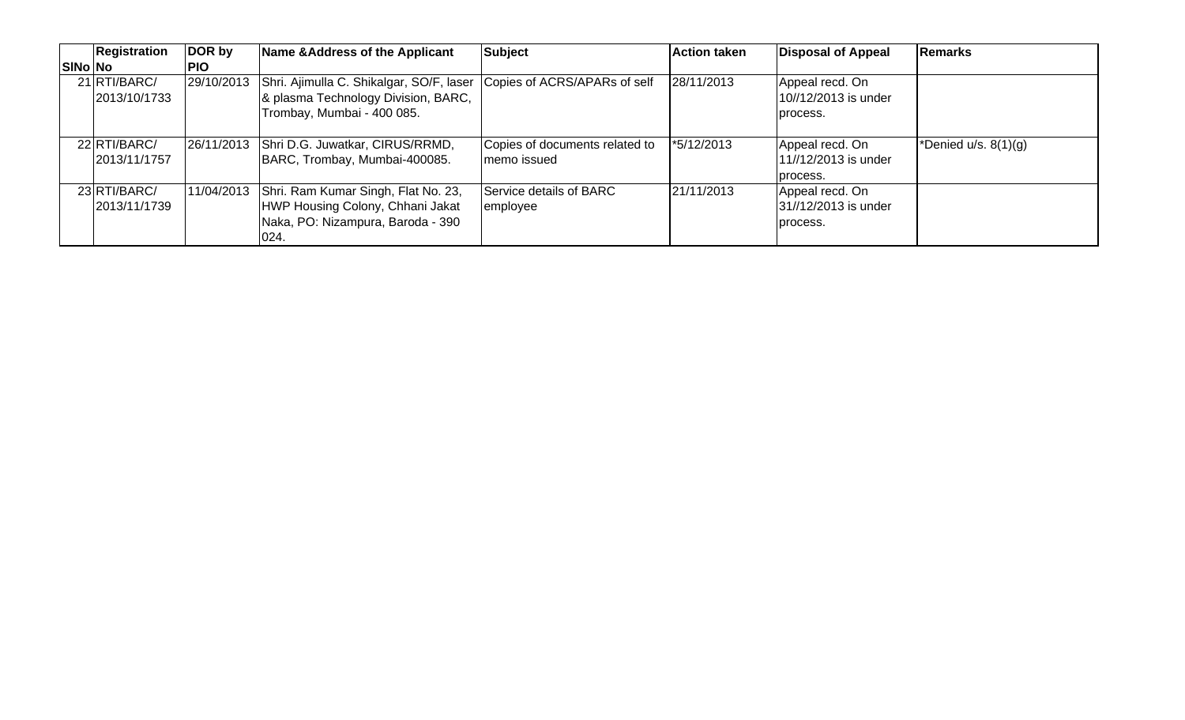|                | <b>Registration</b>           | DOR by     | Name & Address of the Applicant                                                                                                            | Subject                                        | <b>Action taken</b> | <b>Disposal of Appeal</b>                           | Remarks                |
|----------------|-------------------------------|------------|--------------------------------------------------------------------------------------------------------------------------------------------|------------------------------------------------|---------------------|-----------------------------------------------------|------------------------|
| <b>SINo No</b> |                               | <b>PIO</b> |                                                                                                                                            |                                                |                     |                                                     |                        |
|                | 21 RTI/BARC/<br>2013/10/1733  | 29/10/2013 | Shri. Ajimulla C. Shikalgar, SO/F, laser Copies of ACRS/APARs of self<br>& plasma Technology Division, BARC,<br>Trombay, Mumbai - 400 085. |                                                | 28/11/2013          | Appeal recd. On<br>10//12/2013 is under<br>process. |                        |
|                | 22 RTI/BARC/<br>12013/11/1757 |            | 26/11/2013 Shri D.G. Juwatkar, CIRUS/RRMD,<br>BARC, Trombay, Mumbai-400085.                                                                | Copies of documents related to<br>Imemo issued | *5/12/2013          | Appeal recd. On<br>11//12/2013 is under<br>process. | *Denied $u/s. 8(1)(g)$ |
|                | 23 RTI/BARC/<br>2013/11/1739  | 11/04/2013 | Shri. Ram Kumar Singh, Flat No. 23,<br>HWP Housing Colony, Chhani Jakat<br>Naka, PO: Nizampura, Baroda - 390<br>024.                       | Service details of BARC<br>employee            | 21/11/2013          | Appeal recd. On<br>31//12/2013 is under<br>process. |                        |